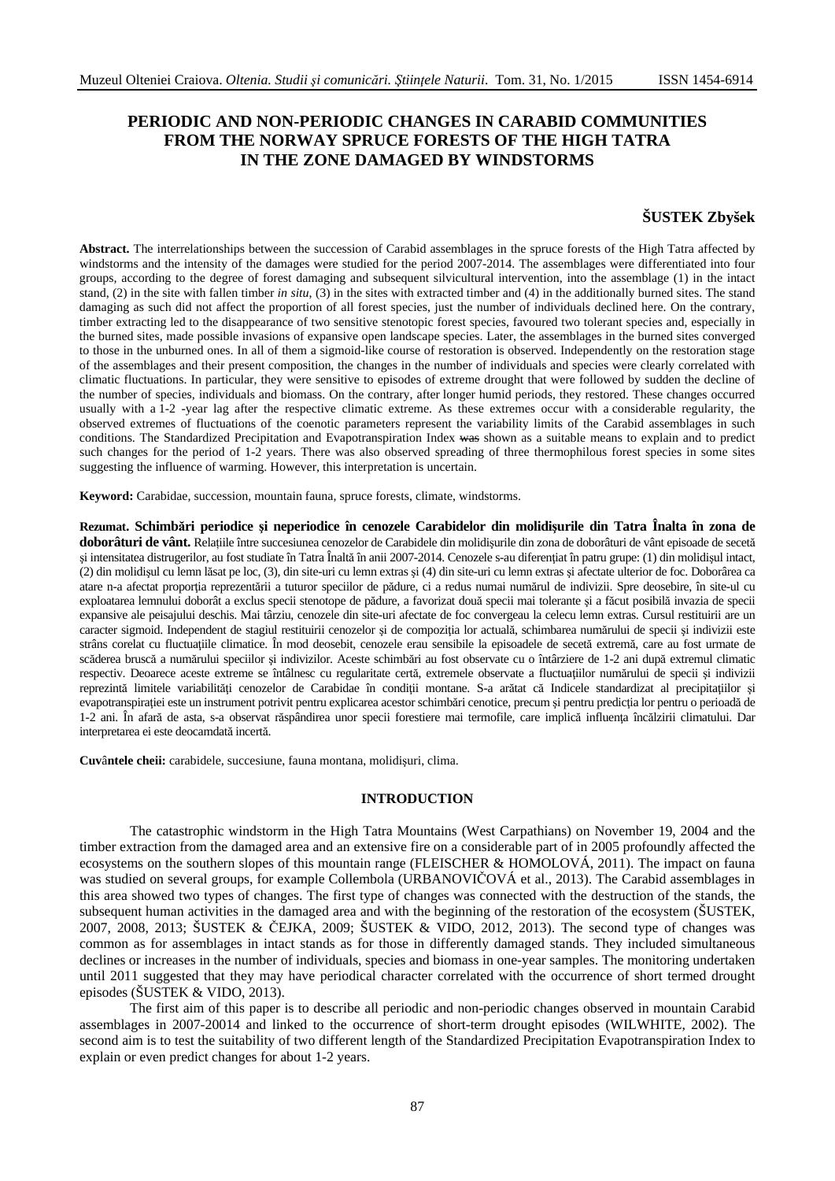# **PERIODIC AND NON-PERIODIC CHANGES IN CARABID COMMUNITIES FROM THE NORWAY SPRUCE FORESTS OF THE HIGH TATRA IN THE ZONE DAMAGED BY WINDSTORMS**

## **ŠUSTEK Zbyšek**

**Abstract.** The interrelationships between the succession of Carabid assemblages in the spruce forests of the High Tatra affected by windstorms and the intensity of the damages were studied for the period 2007-2014. The assemblages were differentiated into four groups, according to the degree of forest damaging and subsequent silvicultural intervention, into the assemblage (1) in the intact stand, (2) in the site with fallen timber *in situ*, (3) in the sites with extracted timber and (4) in the additionally burned sites. The stand damaging as such did not affect the proportion of all forest species, just the number of individuals declined here. On the contrary, timber extracting led to the disappearance of two sensitive stenotopic forest species, favoured two tolerant species and, especially in the burned sites, made possible invasions of expansive open landscape species. Later, the assemblages in the burned sites converged to those in the unburned ones. In all of them a sigmoid-like course of restoration is observed. Independently on the restoration stage of the assemblages and their present composition, the changes in the number of individuals and species were clearly correlated with climatic fluctuations. In particular, they were sensitive to episodes of extreme drought that were followed by sudden the decline of the number of species, individuals and biomass. On the contrary, after longer humid periods, they restored. These changes occurred usually with a 1-2 -year lag after the respective climatic extreme. As these extremes occur with a considerable regularity, the observed extremes of fluctuations of the coenotic parameters represent the variability limits of the Carabid assemblages in such conditions. The Standardized Precipitation and Evapotranspiration Index was shown as a suitable means to explain and to predict such changes for the period of 1-2 years. There was also observed spreading of three thermophilous forest species in some sites suggesting the influence of warming. However, this interpretation is uncertain.

**Keyword:** Carabidae, succession, mountain fauna, spruce forests, climate, windstorms.

**Rezumat. Schimbări periodice şi neperiodice în cenozele Carabidelor din molidişurile din Tatra Înalta în zona de doborâturi de vânt.** Relațiile între succesiunea cenozelor de Carabidele din molidişurile din zona de doborâturi de vânt episoade de secetă şi intensitatea distrugerilor, au fost studiate în Tatra Înaltă în anii 2007-2014. Cenozele s-au diferenţiat în patru grupe: (1) din molidişul intact, (2) din molidişul cu lemn lăsat pe loc, (3), din site-uri cu lemn extras şi (4) din site-uri cu lemn extras şi afectate ulterior de foc. Doborârea ca atare n-a afectat proporția reprezentării a tuturor speciilor de pădure, ci a redus numai numărul de indivizii. Spre deosebire, în site-ul cu exploatarea lemnului doborât a exclus specii stenotope de pădure, a favorizat două specii mai tolerante şi a făcut posibilă invazia de specii expansive ale peisajului deschis. Mai târziu, cenozele din site-uri afectate de foc convergeau la celecu lemn extras. Cursul restituirii are un caracter sigmoid. Independent de stagiul restituirii cenozelor și de compozitia lor actuală, schimbarea numărului de specii și indivizii este strâns corelat cu fluctuaţiile climatice. În mod deosebit, cenozele erau sensibile la episoadele de secetă extremă, care au fost urmate de scăderea bruscă a numărului speciilor şi indivizilor. Aceste schimbări au fost observate cu o întârziere de 1-2 ani după extremul climatic respectiv. Deoarece aceste extreme se întâlnesc cu regularitate certă, extremele observate a fluctuatiilor numărului de specii și indivizii reprezintă limitele variabilități cenozelor de Carabidae în condiții montane. S-a arătat că Indicele standardizat al precipitațiilor și evapotranspiraţiei este un instrument potrivit pentru explicarea acestor schimbări cenotice, precum şi pentru predicţia lor pentru o perioadă de 1-2 ani. În afară de asta, s-a observat răspândirea unor specii forestiere mai termofile, care implică influența încălzirii climatului. Dar interpretarea ei este deocamdată incertă.

**Cuv**â**ntele cheii:** carabidele, succesiune, fauna montana, molidişuri, clima.

## **INTRODUCTION**

The catastrophic windstorm in the High Tatra Mountains (West Carpathians) on November 19, 2004 and the timber extraction from the damaged area and an extensive fire on a considerable part of in 2005 profoundly affected the ecosystems on the southern slopes of this mountain range (FLEISCHER & HOMOLOVÁ, 2011). The impact on fauna was studied on several groups, for example Collembola (URBANOVIČOVÁ et al., 2013). The Carabid assemblages in this area showed two types of changes. The first type of changes was connected with the destruction of the stands, the subsequent human activities in the damaged area and with the beginning of the restoration of the ecosystem (ŠUSTEK, 2007, 2008, 2013; ŠUSTEK & ČEJKA, 2009; ŠUSTEK & VIDO, 2012, 2013). The second type of changes was common as for assemblages in intact stands as for those in differently damaged stands. They included simultaneous declines or increases in the number of individuals, species and biomass in one-year samples. The monitoring undertaken until 2011 suggested that they may have periodical character correlated with the occurrence of short termed drought episodes (ŠUSTEK & VIDO, 2013).

The first aim of this paper is to describe all periodic and non-periodic changes observed in mountain Carabid assemblages in 2007-20014 and linked to the occurrence of short-term drought episodes (WILWHITE, 2002). The second aim is to test the suitability of two different length of the Standardized Precipitation Evapotranspiration Index to explain or even predict changes for about 1-2 years.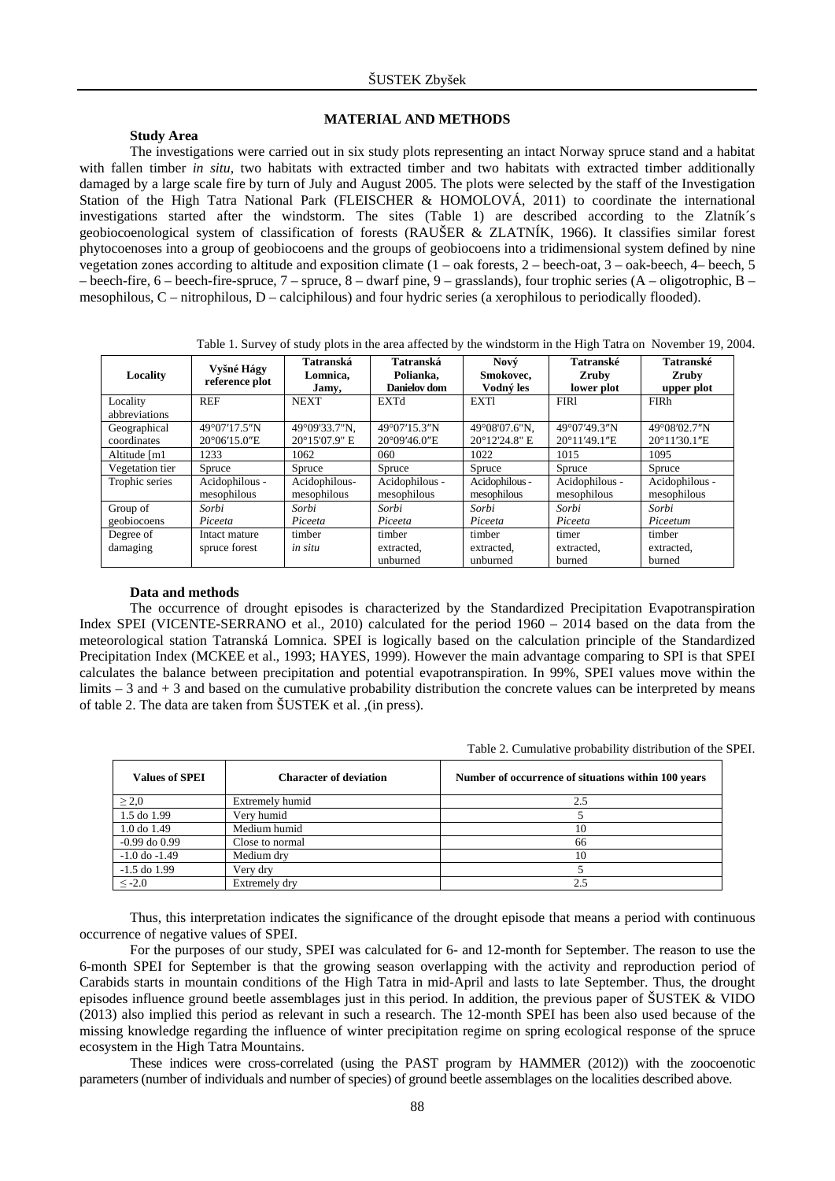## **MATERIAL AND METHODS**

## **Study Area**

The investigations were carried out in six study plots representing an intact Norway spruce stand and a habitat with fallen timber *in situ*, two habitats with extracted timber and two habitats with extracted timber additionally damaged by a large scale fire by turn of July and August 2005. The plots were selected by the staff of the Investigation Station of the High Tatra National Park (FLEISCHER & HOMOLOVÁ, 2011) to coordinate the international investigations started after the windstorm. The sites (Table 1) are described according to the Zlatník´s geobiocoenological system of classification of forests (RAUŠER & ZLATNÍK, 1966). It classifies similar forest phytocoenoses into a group of geobiocoens and the groups of geobiocoens into a tridimensional system defined by nine vegetation zones according to altitude and exposition climate (1 – oak forests, 2 – beech-oat, 3 – oak-beech, 4– beech, 5 – beech-fire, 6 – beech-fire-spruce, 7 – spruce, 8 – dwarf pine, 9 – grasslands), four trophic series (A – oligotrophic, B – mesophilous, C – nitrophilous, D – calciphilous) and four hydric series (a xerophilous to periodically flooded).

Table 1. Survey of study plots in the area affected by the windstorm in the High Tatra on November 19, 2004.

| Locality                    | Vyšné Hágy<br>reference plot           | Tatranská<br>Lomnica,<br>Jamy, | Tatranská<br>Polianka.<br>Danielov dom | Nový<br>Smokovec.<br>Vodný les | Tatranské<br><b>Zruby</b><br>lower plot | Tatranské<br><b>Zruby</b><br>upper plot |  |  |
|-----------------------------|----------------------------------------|--------------------------------|----------------------------------------|--------------------------------|-----------------------------------------|-----------------------------------------|--|--|
| Locality<br>abbreviations   | <b>REF</b>                             | <b>NEXT</b>                    | <b>EXTd</b>                            | <b>EXTI</b>                    | FIR1                                    | <b>FIRh</b>                             |  |  |
| Geographical<br>coordinates | 49°07'17.5"N<br>$20^{\circ}06'15.0''E$ | 49°09'33.7"N.<br>20°15'07.9" E | 49°07'15.3"N<br>$20^{\circ}09'46.0''E$ | 49°08'07.6"N.<br>20°12'24.8" E | 49°07'49.3"N<br>$20^{\circ}11'49.1''E$  | 49°08′02.7"N<br>$20^{\circ}11'30.1''E$  |  |  |
| Altitude [m1]               | 1233                                   | 1062                           | 060                                    | 1022                           | 1015                                    | 1095                                    |  |  |
| Vegetation tier             | Spruce                                 | Spruce                         | Spruce                                 | Spruce                         | Spruce                                  | Spruce                                  |  |  |
| Trophic series              | Acidophilous -<br>mesophilous          | Acidophilous-<br>mesophilous   | Acidophilous -<br>mesophilous          | Acidophilous -<br>mesophilous  | Acidophilous -<br>mesophilous           | Acidophilous -<br>mesophilous           |  |  |
| Group of                    | Sorbi                                  | Sorbi                          | Sorbi                                  | Sorbi                          | Sorbi                                   | Sorbi                                   |  |  |
| geobiocoens                 | Piceeta                                | Piceeta                        | Piceeta                                | Piceeta                        | Piceeta                                 | Piceetum                                |  |  |
| Degree of                   | Intact mature                          | timber                         | timber                                 | timber                         | timer                                   | timber                                  |  |  |
| damaging                    | spruce forest                          | in situ                        | extracted.                             | extracted.                     | extracted.                              | extracted.                              |  |  |
|                             |                                        |                                | unburned                               | unburned                       | burned                                  | burned                                  |  |  |

#### **Data and methods**

The occurrence of drought episodes is characterized by the Standardized Precipitation Evapotranspiration Index SPEI (VICENTE-SERRANO et al., 2010) calculated for the period 1960 – 2014 based on the data from the meteorological station Tatranská Lomnica. SPEI is logically based on the calculation principle of the Standardized Precipitation Index (MCKEE et al., 1993; HAYES, 1999). However the main advantage comparing to SPI is that SPEI calculates the balance between precipitation and potential evapotranspiration. In 99%, SPEI values move within the limits  $-3$  and  $+3$  and based on the cumulative probability distribution the concrete values can be interpreted by means of table 2. The data are taken from ŠUSTEK et al. ,(in press).

Table 2. Cumulative probability distribution of the SPEI.

| <b>Values of SPEI</b> | <b>Character of deviation</b> | Number of occurrence of situations within 100 years |
|-----------------------|-------------------------------|-----------------------------------------------------|
| $\geq 2.0$            | Extremely humid               | 2.5                                                 |
| 1.5 do 1.99           | Very humid                    |                                                     |
| $1.0$ do $1.49$       | Medium humid                  | 10                                                  |
| $-0.99$ do $0.99$     | Close to normal               | 66                                                  |
| $-1.0$ do $-1.49$     | Medium dry                    | 10                                                  |
| $-1.5$ do $1.99$      | Very dry                      |                                                     |
| $\leq$ -2.0           | Extremely dry                 |                                                     |

Thus, this interpretation indicates the significance of the drought episode that means a period with continuous occurrence of negative values of SPEI.

For the purposes of our study, SPEI was calculated for 6- and 12-month for September. The reason to use the 6-month SPEI for September is that the growing season overlapping with the activity and reproduction period of Carabids starts in mountain conditions of the High Tatra in mid-April and lasts to late September. Thus, the drought episodes influence ground beetle assemblages just in this period. In addition, the previous paper of  $\text{SUSTEK} \& \text{VIDO}$ (2013) also implied this period as relevant in such a research. The 12-month SPEI has been also used because of the missing knowledge regarding the influence of winter precipitation regime on spring ecological response of the spruce ecosystem in the High Tatra Mountains.

These indices were cross-correlated (using the PAST program by HAMMER (2012)) with the zoocoenotic parameters (number of individuals and number of species) of ground beetle assemblages on the localities described above.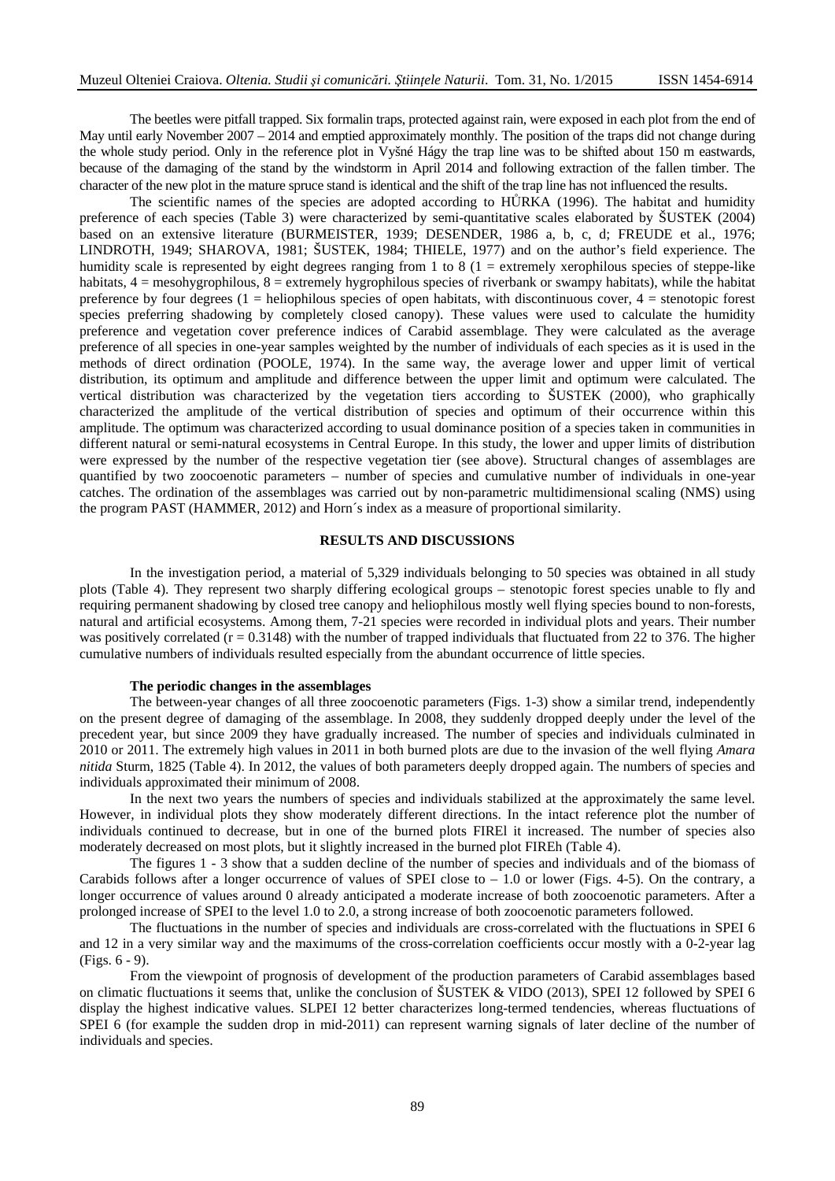The beetles were pitfall trapped. Six formalin traps, protected against rain, were exposed in each plot from the end of May until early November 2007 – 2014 and emptied approximately monthly. The position of the traps did not change during the whole study period. Only in the reference plot in Vyšné Hágy the trap line was to be shifted about 150 m eastwards, because of the damaging of the stand by the windstorm in April 2014 and following extraction of the fallen timber. The character of the new plot in the mature spruce stand is identical and the shift of the trap line has not influenced the results.

The scientific names of the species are adopted according to HŮRKA (1996). The habitat and humidity preference of each species (Table 3) were characterized by semi-quantitative scales elaborated by ŠUSTEK (2004) based on an extensive literature (BURMEISTER, 1939; DESENDER, 1986 a, b, c, d; FREUDE et al., 1976; LINDROTH, 1949; SHAROVA, 1981; ŠUSTEK, 1984; THIELE, 1977) and on the author's field experience. The humidity scale is represented by eight degrees ranging from 1 to 8 (1 = extremely xerophilous species of steppe-like habitats,  $4 =$  mesohygrophilous,  $8 =$  extremely hygrophilous species of riverbank or swampy habitats), while the habitat preference by four degrees  $(1 = \text{heliophilous species of open habitats, with discontinuous cover}, 4 = \text{stenotopic forest})$ species preferring shadowing by completely closed canopy). These values were used to calculate the humidity preference and vegetation cover preference indices of Carabid assemblage. They were calculated as the average preference of all species in one-year samples weighted by the number of individuals of each species as it is used in the methods of direct ordination (POOLE, 1974). In the same way, the average lower and upper limit of vertical distribution, its optimum and amplitude and difference between the upper limit and optimum were calculated. The vertical distribution was characterized by the vegetation tiers according to ŠUSTEK (2000), who graphically characterized the amplitude of the vertical distribution of species and optimum of their occurrence within this amplitude. The optimum was characterized according to usual dominance position of a species taken in communities in different natural or semi-natural ecosystems in Central Europe. In this study, the lower and upper limits of distribution were expressed by the number of the respective vegetation tier (see above). Structural changes of assemblages are quantified by two zoocoenotic parameters – number of species and cumulative number of individuals in one-year catches. The ordination of the assemblages was carried out by non-parametric multidimensional scaling (NMS) using the program PAST (HAMMER, 2012) and Horn´s index as a measure of proportional similarity.

#### **RESULTS AND DISCUSSIONS**

In the investigation period, a material of 5,329 individuals belonging to 50 species was obtained in all study plots (Table 4). They represent two sharply differing ecological groups – stenotopic forest species unable to fly and requiring permanent shadowing by closed tree canopy and heliophilous mostly well flying species bound to non-forests, natural and artificial ecosystems. Among them, 7-21 species were recorded in individual plots and years. Their number was positively correlated ( $r = 0.3148$ ) with the number of trapped individuals that fluctuated from 22 to 376. The higher cumulative numbers of individuals resulted especially from the abundant occurrence of little species.

### **The periodic changes in the assemblages**

The between-year changes of all three zoocoenotic parameters (Figs. 1-3) show a similar trend, independently on the present degree of damaging of the assemblage. In 2008, they suddenly dropped deeply under the level of the precedent year, but since 2009 they have gradually increased. The number of species and individuals culminated in 2010 or 2011. The extremely high values in 2011 in both burned plots are due to the invasion of the well flying *Amara nitida* Sturm, 1825 (Table 4). In 2012, the values of both parameters deeply dropped again. The numbers of species and individuals approximated their minimum of 2008.

In the next two years the numbers of species and individuals stabilized at the approximately the same level. However, in individual plots they show moderately different directions. In the intact reference plot the number of individuals continued to decrease, but in one of the burned plots FIREl it increased. The number of species also moderately decreased on most plots, but it slightly increased in the burned plot FIREh (Table 4).

The figures 1 - 3 show that a sudden decline of the number of species and individuals and of the biomass of Carabids follows after a longer occurrence of values of SPEI close to  $-1.0$  or lower (Figs. 4-5). On the contrary, a longer occurrence of values around 0 already anticipated a moderate increase of both zoocoenotic parameters. After a prolonged increase of SPEI to the level 1.0 to 2.0, a strong increase of both zoocoenotic parameters followed.

The fluctuations in the number of species and individuals are cross-correlated with the fluctuations in SPEI 6 and 12 in a very similar way and the maximums of the cross-correlation coefficients occur mostly with a 0-2-year lag (Figs. 6 - 9).

From the viewpoint of prognosis of development of the production parameters of Carabid assemblages based on climatic fluctuations it seems that, unlike the conclusion of ŠUSTEK & VIDO (2013), SPEI 12 followed by SPEI 6 display the highest indicative values. SLPEI 12 better characterizes long-termed tendencies, whereas fluctuations of SPEI 6 (for example the sudden drop in mid-2011) can represent warning signals of later decline of the number of individuals and species.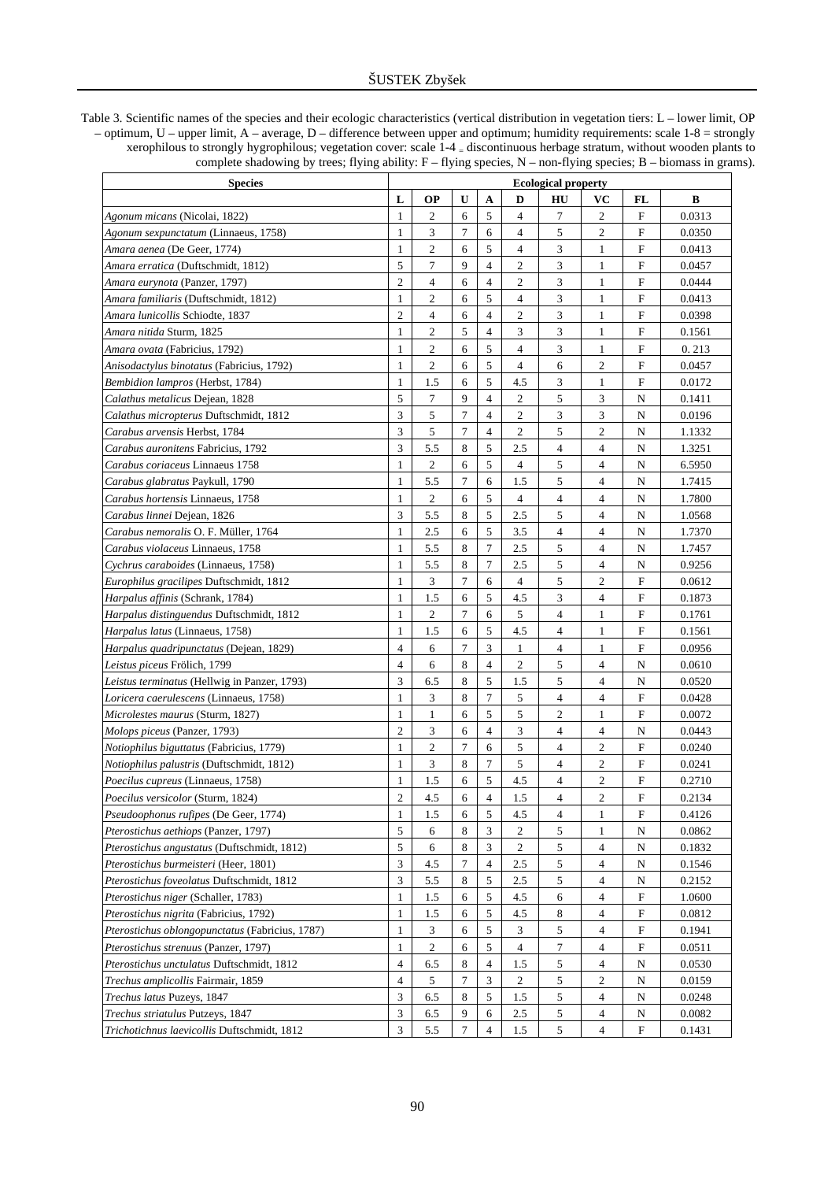Table 3. Scientific names of the species and their ecologic characteristics (vertical distribution in vegetation tiers: L – lower limit, OP – optimum, U – upper limit, A – average, D – difference between upper and optimum; humidity requirements: scale 1-8 = strongly xerophilous to strongly hygrophilous; vegetation cover: scale 1-4 = discontinuous herbage stratum, without wooden plants to complete shadowing by trees; flying ability: F – flying species, N – non-flying species; B – biomass in grams).

| <b>Species</b>                                      | <b>Ecological property</b> |                |        |                             |                  |                          |                |              |        |  |  |  |
|-----------------------------------------------------|----------------------------|----------------|--------|-----------------------------|------------------|--------------------------|----------------|--------------|--------|--|--|--|
|                                                     | L                          | ОP             | U      | A                           | D                | HU                       | VС             | FL           | B      |  |  |  |
| Agonum micans (Nicolai, 1822)                       | 1                          | $\overline{c}$ | 6      | 5                           | $\overline{4}$   | 7                        | 2              | F            | 0.0313 |  |  |  |
| Agonum sexpunctatum (Linnaeus, 1758)                | 1                          | 3              | 7      | 6                           | 4                | 5                        | $\overline{c}$ | F            | 0.0350 |  |  |  |
| Amara aenea (De Geer, 1774)                         | 1                          | $\overline{c}$ | 6      | 5                           | $\overline{4}$   | 3                        | 1              | $\mathbf{F}$ | 0.0413 |  |  |  |
| Amara erratica (Duftschmidt, 1812)                  | 5                          | 7              | 9      | $\overline{4}$              | $\overline{2}$   | 3                        | 1              | F            | 0.0457 |  |  |  |
| A <i>mara eurynota</i> (Panzer, 1797)               | $\overline{2}$             | $\overline{4}$ | 6      | $\overline{4}$              | $\overline{2}$   | 3                        | 1              | F            | 0.0444 |  |  |  |
| Amara familiaris (Duftschmidt, 1812)                | 1                          | $\overline{c}$ | 6      | 5                           | $\overline{4}$   | 3                        | 1              | F            | 0.0413 |  |  |  |
| A <i>mara lunicollis</i> Schiodte, 1837             | $\overline{c}$             | 4              | 6      | $\overline{4}$              | $\overline{c}$   | 3                        | $\mathbf{1}$   | F            | 0.0398 |  |  |  |
| A <i>mara nitida</i> Sturm, 1825                    | 1                          | $\overline{c}$ | 5      | $\overline{4}$              | 3                | 3                        | $\mathbf{1}$   | F            | 0.1561 |  |  |  |
| Amara ovata (Fabricius, 1792)                       | 1                          | $\overline{c}$ | 6      | 5                           | $\overline{4}$   | 3                        | $\mathbf{1}$   | F            | 0.213  |  |  |  |
| Anisodactylus binotatus (Fabricius, 1792)           | 1                          | $\overline{c}$ | 6      | 5                           | $\overline{4}$   | 6                        | $\overline{c}$ | F            | 0.0457 |  |  |  |
| Bembidion lampros (Herbst, 1784)                    | 1                          | 1.5            | 6      | 5                           | 4.5              | 3                        | 1              | F            | 0.0172 |  |  |  |
| <i>Calathus metalicus</i> Dejean, 1828              | 5                          | $\overline{7}$ | 9      | $\overline{4}$              | $\mathfrak{2}$   | 5                        | 3              | N            | 0.1411 |  |  |  |
| <i>Calathus micropterus</i> Duftschmidt, 1812       | 3                          | 5              | 7      | $\overline{4}$              | 2                | 3                        | 3              | N            | 0.0196 |  |  |  |
| <i>Carabus arvensis</i> Herbst, 1784                | 3                          | 5              | 7      | $\overline{4}$              | $\boldsymbol{2}$ | 5                        | $\overline{c}$ | N            | 1.1332 |  |  |  |
| <i>Carabus auronitens Fabricius, 1792</i>           | 3                          | 5.5            | 8      | 5                           | 2.5              | $\overline{4}$           | $\overline{4}$ | N            | 1.3251 |  |  |  |
| Carabus coriaceus Linnaeus 1758                     | 1                          | $\mathfrak{2}$ | 6      | 5                           | 4                | 5                        | $\overline{4}$ | N            | 6.5950 |  |  |  |
| Carabus glabratus Paykull, 1790                     | 1                          | 5.5            | 7      | 6                           | 1.5              | 5                        | $\overline{4}$ | N            | 1.7415 |  |  |  |
| Carabus hortensis Linnaeus, 1758                    | 1                          | $\mathfrak{2}$ | 6      | 5                           | 4                | 4                        | 4              | N            | 1.7800 |  |  |  |
| <i>Carabus linnei</i> Dejean, 1826                  | 3                          | 5.5            | 8      | 5                           | 2.5              | 5                        | $\overline{4}$ | N            | 1.0568 |  |  |  |
| Carabus nemoralis O. F. Müller, 1764                | 1                          | 2.5            | 6      | 5                           | 3.5              | $\overline{\mathcal{L}}$ | $\overline{4}$ | N            | 1.7370 |  |  |  |
| Carabus violaceus Linnaeus, 1758                    | 1                          | 5.5            | 8      | 7                           | 2.5              | 5                        | $\overline{4}$ | N            | 1.7457 |  |  |  |
| Cychrus caraboides (Linnaeus, 1758)                 | 1                          | 5.5            | 8      | 7                           | 2.5              | 5                        | $\overline{4}$ | N            | 0.9256 |  |  |  |
| Europhilus gracilipes Duftschmidt, 1812             | 1                          | 3              | 7      | 6                           | 4                | 5                        | 2              | F            | 0.0612 |  |  |  |
| <i>Harpalus affinis</i> (Schrank, 1784)             | 1                          | 1.5            | 6      | 5                           | 4.5              | 3                        | $\overline{4}$ | $\mathbf F$  | 0.1873 |  |  |  |
| <i>Harpalus distinguendus</i> Duftschmidt, 1812     | 1                          | 2              | 7      | 6                           | 5                | 4                        | 1              | F            | 0.1761 |  |  |  |
| <i>Harpalus latus</i> (Linnaeus, 1758)              | 1                          | 1.5            | 6      | 5                           | 4.5              | 4                        | 1              | F            | 0.1561 |  |  |  |
| <i>Harpalus quadripunctatus</i> (Dejean, 1829)      | 4                          | 6              | 7      | 3                           | 1                | 4                        | 1              | F            | 0.0956 |  |  |  |
| <i>Leistus piceus</i> Frölich, 1799                 | 4                          | 6              | 8      | $\overline{4}$              | $\overline{c}$   | 5                        | $\overline{4}$ | N            | 0.0610 |  |  |  |
| <i>Leistus terminatus</i> (Hellwig in Panzer, 1793) | 3                          | 6.5            | 8      | 5                           | 1.5              | 5                        | $\overline{4}$ | N            | 0.0520 |  |  |  |
| <i>Loricera caerulescens</i> (Linnaeus, 1758)       | $\mathbf{1}$               | 3              | 8      | 7                           | 5                | 4                        | $\overline{4}$ | F            | 0.0428 |  |  |  |
| <i>Microlestes maurus</i> (Sturm, 1827)             | 1                          | 1              | 6      | 5                           | 5                | $\mathfrak{2}$           | 1              | F            | 0.0072 |  |  |  |
| <i>Molops piceus</i> (Panzer, 1793)                 | $\mathfrak{2}$             | 3              | 6      | $\overline{4}$              | 3                | 4                        | $\overline{4}$ | N            | 0.0443 |  |  |  |
| <i>Notiophilus biguttatus</i> (Fabricius, 1779)     | 1                          | $\mathfrak{2}$ | 7      | 6                           | 5                | 4                        | $\mathfrak{2}$ | F            | 0.0240 |  |  |  |
| <i>Notiophilus palustris</i> (Duftschmidt, 1812)    | 1                          | 3              | 8      | 7                           | 5                | 4                        | $\overline{c}$ | F            | 0.0241 |  |  |  |
| <i>Poecilus cupreus</i> (Linnaeus, 1758)            | 1                          | 1.5            | 6      | 5                           | 4.5              | 4                        | $\mathfrak{2}$ | F            | 0.2710 |  |  |  |
| <i>Poecilus versicolor</i> (Sturm, 1824)            | $\overline{c}$             | 4.5            | 6      | $\overline{4}$              | 1.5              | 4                        | $\overline{2}$ | F            | 0.2134 |  |  |  |
| Pseudoophonus rufipes (De Geer, 1774)               | $\mathbf{1}$               | 1.5            | 6      | 5                           | 4.5              | 4                        | $\mathbf{1}$   | F            | 0.4126 |  |  |  |
| Pterostichus aethiops (Panzer, 1797)                | 5                          | 6              | 8      | 3                           | 2                | 5                        | 1              | N            | 0.0862 |  |  |  |
| Pterostichus angustatus (Duftschmidt, 1812)         | 5                          | 6              | 8      | $\ensuremath{\mathfrak{Z}}$ | $\overline{c}$   | 5                        | $\overline{4}$ | N            | 0.1832 |  |  |  |
| Pterostichus burmeisteri (Heer, 1801)               | 3                          | 4.5            | 7      | $\overline{4}$              | 2.5              | 5                        | $\overline{4}$ | N            | 0.1546 |  |  |  |
| Pterostichus foveolatus Duftschmidt, 1812           | 3                          | 5.5            | 8      | 5                           | 2.5              | 5                        | $\overline{4}$ | N            | 0.2152 |  |  |  |
| Pterostichus niger (Schaller, 1783)                 | 1                          | 1.5            | 6      | 5                           | 4.5              | 6                        | $\overline{4}$ | F            | 1.0600 |  |  |  |
| Pterostichus nigrita (Fabricius, 1792)              | 1                          | 1.5            | 6      | 5                           | 4.5              | 8                        | $\overline{4}$ | F            | 0.0812 |  |  |  |
| Pterostichus oblongopunctatus (Fabricius, 1787)     | 1                          | 3              | 6      | 5                           | 3                | 5                        | $\overline{4}$ | F            | 0.1941 |  |  |  |
| Pterostichus strenuus (Panzer, 1797)                | 1                          | $\overline{c}$ | 6      | 5                           | $\overline{4}$   | $\tau$                   | $\overline{4}$ | F            | 0.0511 |  |  |  |
| Pterostichus unctulatus Duftschmidt, 1812           | $\overline{4}$             | 6.5            | 8      | $\overline{4}$              | 1.5              | 5                        | $\overline{4}$ | N            | 0.0530 |  |  |  |
| Trechus amplicollis Fairmair, 1859                  | $\overline{4}$             | 5              | 7      | 3                           | $\overline{c}$   | 5                        | $\overline{c}$ | N            | 0.0159 |  |  |  |
| Trechus latus Puzeys, 1847                          | 3                          | 6.5            | 8      | $\sqrt{5}$                  | 1.5              | 5                        | $\overline{4}$ | N            | 0.0248 |  |  |  |
| Trechus striatulus Putzeys, 1847                    | $\mathfrak z$              | 6.5            | 9      | 6                           | 2.5              | 5                        | $\overline{4}$ | N            | 0.0082 |  |  |  |
| Trichotichnus laevicollis Duftschmidt, 1812         | 3                          | 5.5            | $\tau$ | $\overline{4}$              | 1.5              | $\sqrt{5}$               | $\overline{4}$ | $\mathbf F$  | 0.1431 |  |  |  |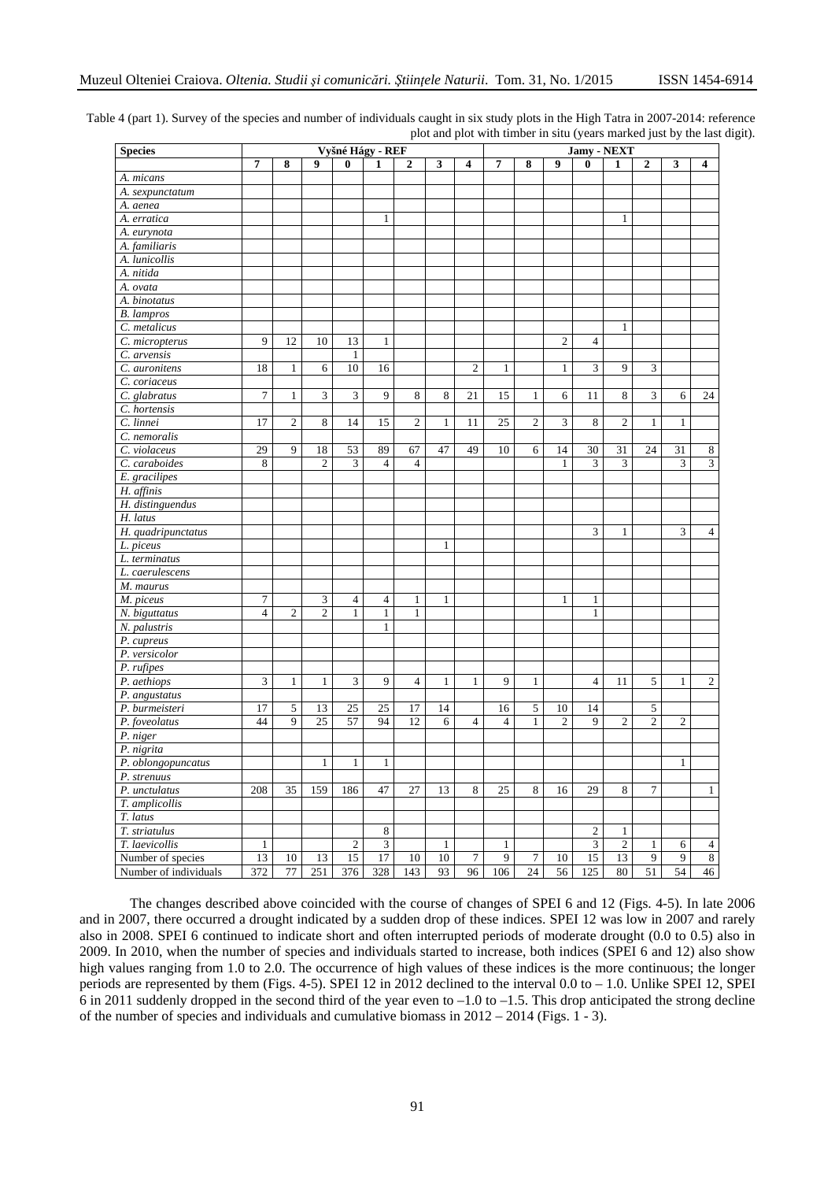| <b>Species</b>        | Vyšné Hágy - REF |                         |                |                |                |                |              |                | Jamy - NEXT    |                |                |                |                |                 |                |                         |
|-----------------------|------------------|-------------------------|----------------|----------------|----------------|----------------|--------------|----------------|----------------|----------------|----------------|----------------|----------------|-----------------|----------------|-------------------------|
|                       | 7                | 8                       | 9              | 0              | 1              | $\mathbf{2}$   | 3            | 4              | 7              | 8              | 9              | 0              | 1              | $\overline{2}$  | 3              | $\overline{\mathbf{4}}$ |
| A. micans             |                  |                         |                |                |                |                |              |                |                |                |                |                |                |                 |                |                         |
| A. sexpunctatum       |                  |                         |                |                |                |                |              |                |                |                |                |                |                |                 |                |                         |
| A. aenea              |                  |                         |                |                |                |                |              |                |                |                |                |                |                |                 |                |                         |
| A. erratica           |                  |                         |                |                | 1              |                |              |                |                |                |                |                | 1              |                 |                |                         |
| A. eurynota           |                  |                         |                |                |                |                |              |                |                |                |                |                |                |                 |                |                         |
| A. familiaris         |                  |                         |                |                |                |                |              |                |                |                |                |                |                |                 |                |                         |
| A. lunicollis         |                  |                         |                |                |                |                |              |                |                |                |                |                |                |                 |                |                         |
| A. nitida             |                  |                         |                |                |                |                |              |                |                |                |                |                |                |                 |                |                         |
| A. ovata              |                  |                         |                |                |                |                |              |                |                |                |                |                |                |                 |                |                         |
| A. binotatus          |                  |                         |                |                |                |                |              |                |                |                |                |                |                |                 |                |                         |
| <b>B.</b> lampros     |                  |                         |                |                |                |                |              |                |                |                |                |                |                |                 |                |                         |
| C. metalicus          |                  |                         |                |                |                |                |              |                |                |                |                |                | 1              |                 |                |                         |
| C. micropterus        | 9                | 12                      | 10             | 13             | $\mathbf{1}$   |                |              |                |                |                | $\mathfrak{2}$ | $\overline{4}$ |                |                 |                |                         |
| C. arvensis           |                  |                         |                | 1              |                |                |              |                |                |                |                |                |                |                 |                |                         |
| C. auronitens         | 18               | $\mathbf{1}$            | 6              | 10             | 16             |                |              | $\overline{c}$ | $\mathbf{1}$   |                | $\mathbf{1}$   | 3              | 9              | 3               |                |                         |
| C. coriaceus          |                  |                         |                |                |                |                |              |                |                |                |                |                |                |                 |                |                         |
| C. glabratus          | $\overline{7}$   | 1                       | 3              | 3              | 9              | 8              | 8            | 21             | 15             | 1              | 6              | 11             | 8              | 3               | 6              | 24                      |
| C. hortensis          |                  |                         |                |                |                |                |              |                |                |                |                |                |                |                 |                |                         |
| C. linnei             | 17               | $\overline{\mathbf{c}}$ | 8              | 14             | 15             | $\mathfrak{2}$ | 1            | 11             | 25             | $\mathfrak{2}$ | 3              | 8              | $\mathfrak{2}$ | $\mathbf{1}$    | 1              |                         |
| C. nemoralis          |                  |                         |                |                |                |                |              |                |                |                |                |                |                |                 |                |                         |
| C. violaceus          | 29               | 9                       | 18             | 53             | 89             | 67             | 47           | 49             | 10             | 6              | 14             | 30             | 31             | 24              | 31             | 8                       |
| C. caraboides         | $\,$ 8 $\,$      |                         | $\overline{2}$ | 3              | $\overline{4}$ | $\overline{4}$ |              |                |                |                | 1              | 3              | 3              |                 | 3              | 3                       |
| E. gracilipes         |                  |                         |                |                |                |                |              |                |                |                |                |                |                |                 |                |                         |
| H. affinis            |                  |                         |                |                |                |                |              |                |                |                |                |                |                |                 |                |                         |
| H. distinguendus      |                  |                         |                |                |                |                |              |                |                |                |                |                |                |                 |                |                         |
| H. latus              |                  |                         |                |                |                |                |              |                |                |                |                |                |                |                 |                |                         |
| H. quadripunctatus    |                  |                         |                |                |                |                |              |                |                |                |                | 3              | 1              |                 | 3              | $\overline{4}$          |
| L. piceus             |                  |                         |                |                |                |                | 1            |                |                |                |                |                |                |                 |                |                         |
| L. terminatus         |                  |                         |                |                |                |                |              |                |                |                |                |                |                |                 |                |                         |
| L. caerulescens       |                  |                         |                |                |                |                |              |                |                |                |                |                |                |                 |                |                         |
| M. maurus             |                  |                         |                |                |                |                |              |                |                |                |                |                |                |                 |                |                         |
| M. piceus             | 7                |                         | 3              | 4              | 4              | 1              | $\mathbf{1}$ |                |                |                | $\mathbf{1}$   | 1              |                |                 |                |                         |
| N. biguttatus         | $\overline{4}$   | $\overline{2}$          | $\overline{c}$ | $\mathbf{1}$   | $\mathbf{1}$   | $\mathbf{1}$   |              |                |                |                |                | $\mathbf{1}$   |                |                 |                |                         |
| N. palustris          |                  |                         |                |                | 1              |                |              |                |                |                |                |                |                |                 |                |                         |
| P. cupreus            |                  |                         |                |                |                |                |              |                |                |                |                |                |                |                 |                |                         |
| P. versicolor         |                  |                         |                |                |                |                |              |                |                |                |                |                |                |                 |                |                         |
| P. rufipes            |                  |                         |                |                |                |                |              |                |                |                |                |                |                |                 |                |                         |
| P. aethiops           | 3                | 1                       | 1              | 3              | 9              | $\overline{4}$ | $\mathbf{1}$ | 1              | 9              | $\mathbf{1}$   |                | $\overline{4}$ | 11             | 5               | $\mathbf{1}$   | $\overline{c}$          |
| P. angustatus         |                  |                         |                |                |                |                |              |                |                |                |                |                |                |                 |                |                         |
| P. burmeisteri        | 17               | 5                       | 13             | 25             | 25             | 17             | 14           |                | 16             | 5              | 10             | 14             |                | 5               |                |                         |
| P. foveolatus         | 44               | 9                       | 25             | 57             | 94             | 12             | 6            | $\overline{4}$ | $\overline{4}$ | $\mathbf{1}$   | 2              | 9              | $\mathfrak{2}$ | 2               | $\mathfrak{2}$ |                         |
| P. niger              |                  |                         |                |                |                |                |              |                |                |                |                |                |                |                 |                |                         |
| P. nigrita            |                  |                         |                |                |                |                |              |                |                |                |                |                |                |                 |                |                         |
| P. oblongopuncatus    |                  |                         | 1              | 1              | 1              |                |              |                |                |                |                |                |                |                 | $\mathbf{1}$   |                         |
| P. strenuus           |                  |                         |                |                |                |                |              |                |                |                |                |                |                |                 |                |                         |
| P. unctulatus         | 208              | 35                      | 159            | 186            | 47             | 27             | 13           | 8              | 25             | 8              | 16             | 29             | 8              | $\overline{7}$  |                | $\mathbf{1}$            |
| T. amplicollis        |                  |                         |                |                |                |                |              |                |                |                |                |                |                |                 |                |                         |
| T. latus              |                  |                         |                |                |                |                |              |                |                |                |                |                |                |                 |                |                         |
| T. striatulus         |                  |                         |                |                | 8              |                |              |                |                |                |                | $\sqrt{2}$     | $\mathbf{1}$   |                 |                |                         |
| T. laevicollis        | $\mathbf{1}$     |                         |                | $\mathfrak{2}$ | $\mathfrak z$  |                | 1            |                | $\mathbf{1}$   |                |                | $\mathfrak{Z}$ | $\overline{2}$ | $\mathbf{1}$    | 6              | 4                       |
| Number of species     | 13               | 10                      | 13             | 15             | 17             | 10             | 10           | 7              | 9              | 7              | 10             | 15             | 13             | 9               | 9              | $8\,$                   |
| Number of individuals | 372              | 77                      | 251            | 376            | 328            | 143            | 93           | 96             | 106            | 24             | 56             | 125            | 80             | $\overline{51}$ | 54             | 46                      |

Table 4 (part 1). Survey of the species and number of individuals caught in six study plots in the High Tatra in 2007-2014: reference plot and plot with timber in situ (years marked just by the last digit).

The changes described above coincided with the course of changes of SPEI 6 and 12 (Figs. 4-5). In late 2006 and in 2007, there occurred a drought indicated by a sudden drop of these indices. SPEI 12 was low in 2007 and rarely also in 2008. SPEI 6 continued to indicate short and often interrupted periods of moderate drought (0.0 to 0.5) also in 2009. In 2010, when the number of species and individuals started to increase, both indices (SPEI 6 and 12) also show high values ranging from 1.0 to 2.0. The occurrence of high values of these indices is the more continuous; the longer periods are represented by them (Figs. 4-5). SPEI 12 in 2012 declined to the interval 0.0 to – 1.0. Unlike SPEI 12, SPEI 6 in 2011 suddenly dropped in the second third of the year even to  $-1.0$  to  $-1.5$ . This drop anticipated the strong decline of the number of species and individuals and cumulative biomass in  $2012 - 2014$  (Figs. 1 - 3).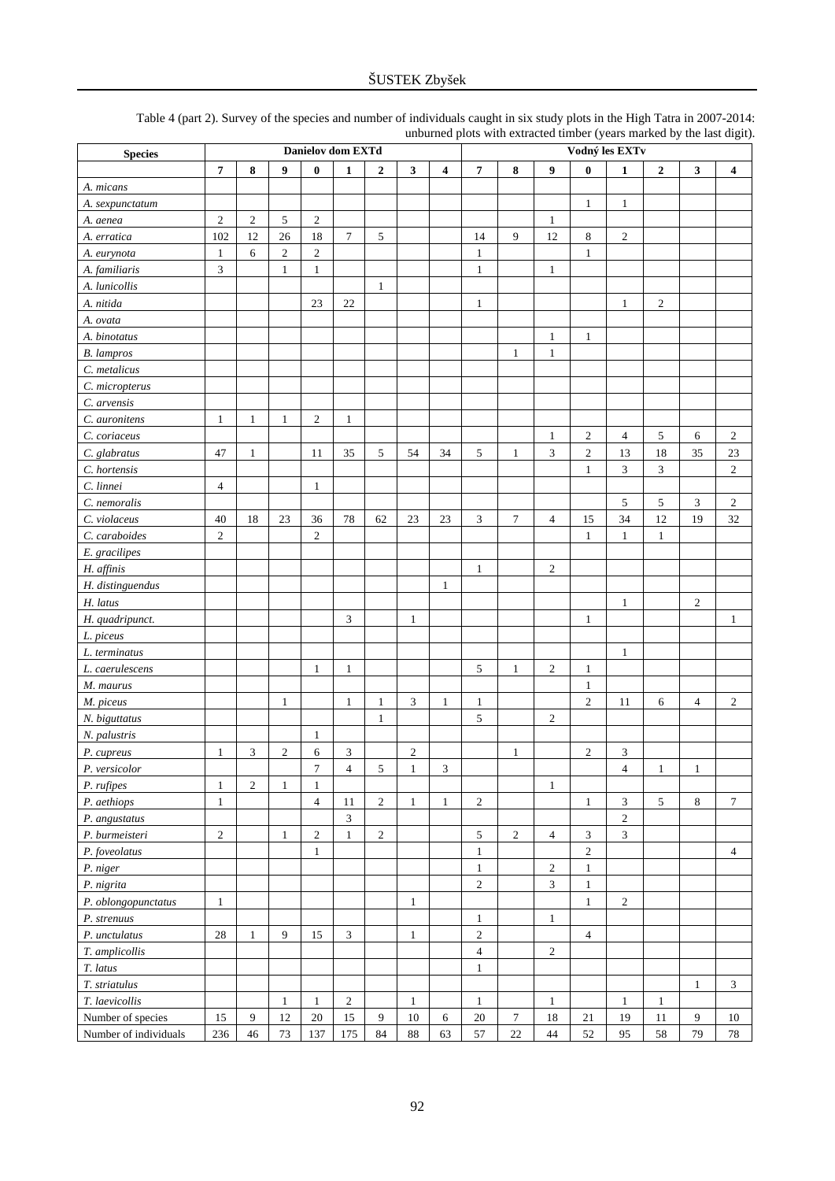| <b>Species</b>        | Danielov dom EXTd |                  |                |                  |                |                |              | Vodný les EXTv |                         |                  |                  |                  |                             |              |                |                         |
|-----------------------|-------------------|------------------|----------------|------------------|----------------|----------------|--------------|----------------|-------------------------|------------------|------------------|------------------|-----------------------------|--------------|----------------|-------------------------|
|                       | $\overline{7}$    | 8                | 9              | $\bf{0}$         | 1              | $\overline{2}$ | 3            | 4              | $\overline{\mathbf{7}}$ | 8                | 9                | $\bf{0}$         | $\mathbf{1}$                | $\mathbf{2}$ | 3              | $\overline{\mathbf{4}}$ |
| A. micans             |                   |                  |                |                  |                |                |              |                |                         |                  |                  |                  |                             |              |                |                         |
| A. sexpunctatum       |                   |                  |                |                  |                |                |              |                |                         |                  |                  | $\mathbf{1}$     | $\mathbf{1}$                |              |                |                         |
| A. aenea              | $\overline{c}$    | $\boldsymbol{2}$ | 5              | $\sqrt{2}$       |                |                |              |                |                         |                  | $\mathbf{1}$     |                  |                             |              |                |                         |
| A. erratica           | 102               | 12               | 26             | 18               | 7              | 5              |              |                | 14                      | 9                | 12               | $\,8$            | $\sqrt{2}$                  |              |                |                         |
| A. eurynota           | $\mathbf{1}$      | 6                | 2              | $\overline{c}$   |                |                |              |                | 1                       |                  |                  | $\mathbf{1}$     |                             |              |                |                         |
| A. familiaris         | 3                 |                  | $\mathbf{1}$   | $\mathbf{1}$     |                |                |              |                | 1                       |                  | $\mathbf{1}$     |                  |                             |              |                |                         |
| A. lunicollis         |                   |                  |                |                  |                | $\mathbf{1}$   |              |                |                         |                  |                  |                  |                             |              |                |                         |
| A. nitida             |                   |                  |                | 23               | $22\,$         |                |              |                | $\mathbf{1}$            |                  |                  |                  | $\mathbf{1}$                | $\sqrt{2}$   |                |                         |
| A. ovata              |                   |                  |                |                  |                |                |              |                |                         |                  |                  |                  |                             |              |                |                         |
| A. binotatus          |                   |                  |                |                  |                |                |              |                |                         |                  | $\mathbf{1}$     | $\mathbf{1}$     |                             |              |                |                         |
| <b>B.</b> lampros     |                   |                  |                |                  |                |                |              |                |                         | $\mathbf{1}$     | $\mathbf{1}$     |                  |                             |              |                |                         |
| C. metalicus          |                   |                  |                |                  |                |                |              |                |                         |                  |                  |                  |                             |              |                |                         |
| C. micropterus        |                   |                  |                |                  |                |                |              |                |                         |                  |                  |                  |                             |              |                |                         |
| C. arvensis           |                   |                  |                |                  |                |                |              |                |                         |                  |                  |                  |                             |              |                |                         |
| C. auronitens         | $\mathbf{1}$      | $\mathbf{1}$     | $\mathbf{1}$   | $\boldsymbol{2}$ | $\mathbf{1}$   |                |              |                |                         |                  |                  |                  |                             |              |                |                         |
| C. coriaceus          |                   |                  |                |                  |                |                |              |                |                         |                  | $\mathbf{1}$     | $\boldsymbol{2}$ | $\overline{4}$              | 5            | 6              | $\boldsymbol{2}$        |
|                       |                   |                  |                |                  |                |                |              |                |                         |                  |                  |                  |                             |              |                |                         |
| C. glabratus          | 47                | 1                |                | 11               | 35             | 5              | 54           | 34             | 5                       | $\mathbf{1}$     | $\mathfrak{Z}$   | $\sqrt{2}$       | 13                          | 18           | 35             | 23<br>$\mathfrak{2}$    |
| C. hortensis          |                   |                  |                |                  |                |                |              |                |                         |                  |                  | $\mathbf{1}$     | 3                           | 3            |                |                         |
| C. linnei             | 4                 |                  |                | $\mathbf{1}$     |                |                |              |                |                         |                  |                  |                  |                             |              |                |                         |
| C. nemoralis          |                   |                  |                |                  |                |                |              |                |                         |                  |                  |                  | 5                           | 5            | 3              | $\overline{c}$          |
| C. violaceus          | 40                | 18               | 23             | 36               | 78             | 62             | 23           | 23             | 3                       | $\boldsymbol{7}$ | $\overline{4}$   | 15               | 34                          | 12           | 19             | 32                      |
| C. caraboides         | $\mathfrak{2}$    |                  |                | $\mathfrak{2}$   |                |                |              |                |                         |                  |                  | $\mathbf{1}$     | $\mathbf{1}$                | $\mathbf{1}$ |                |                         |
| E. gracilipes         |                   |                  |                |                  |                |                |              |                |                         |                  |                  |                  |                             |              |                |                         |
| H. affinis            |                   |                  |                |                  |                |                |              |                | $\mathbf{1}$            |                  | $\overline{c}$   |                  |                             |              |                |                         |
| H. distinguendus      |                   |                  |                |                  |                |                |              | 1              |                         |                  |                  |                  |                             |              |                |                         |
| H. latus              |                   |                  |                |                  |                |                |              |                |                         |                  |                  |                  | $\mathbf{1}$                |              | $\overline{2}$ |                         |
| H. quadripunct.       |                   |                  |                |                  | 3              |                | $\mathbf{1}$ |                |                         |                  |                  | 1                |                             |              |                | 1                       |
| L. piceus             |                   |                  |                |                  |                |                |              |                |                         |                  |                  |                  |                             |              |                |                         |
| L. terminatus         |                   |                  |                |                  |                |                |              |                |                         |                  |                  |                  | $\mathbf{1}$                |              |                |                         |
| L. caerulescens       |                   |                  |                | 1                | $\mathbf{1}$   |                |              |                | 5                       | $\mathbf{1}$     | $\sqrt{2}$       | $\mathbf{1}$     |                             |              |                |                         |
| M. maurus             |                   |                  |                |                  |                |                |              |                |                         |                  |                  | $\mathbf{1}$     |                             |              |                |                         |
| M. piceus             |                   |                  | $\mathbf{1}$   |                  | $\mathbf{1}$   | $\mathbf{1}$   | 3            | 1              | $\mathbf{1}$            |                  |                  | $\mathfrak{2}$   | 11                          | 6            | $\overline{4}$ | $\overline{2}$          |
| N. biguttatus         |                   |                  |                |                  |                | 1              |              |                | 5                       |                  | $\mathfrak{2}$   |                  |                             |              |                |                         |
| N. palustris          |                   |                  |                | $\mathbf{1}$     |                |                |              |                |                         |                  |                  |                  |                             |              |                |                         |
| P. cupreus            | 1                 | 3                | $\overline{c}$ | 6                | 3              |                | 2            |                |                         | $\mathbf{1}$     |                  | $\boldsymbol{2}$ | 3                           |              |                |                         |
| P. versicolor         |                   |                  |                | $\overline{7}$   | $\overline{4}$ | 5              | $\mathbf{1}$ | 3              |                         |                  |                  |                  | $\overline{4}$              | $\mathbf{1}$ | $\mathbf{1}$   |                         |
| P. rufipes            | $\mathbf{1}$      | $\boldsymbol{2}$ | 1              | $\mathbf{1}$     |                |                |              |                |                         |                  | $\mathbf{1}$     |                  |                             |              |                |                         |
| P. aethiops           | $\mathbf{1}$      |                  |                | $\overline{4}$   | $11\,$         | $\overline{2}$ | $\mathbf{1}$ | $\mathbf{1}$   | $\sqrt{2}$              |                  |                  | $\mathbf{1}$     | $\ensuremath{\mathfrak{Z}}$ | 5            | 8              | $\tau$                  |
| P. angustatus         |                   |                  |                |                  | 3              |                |              |                |                         |                  |                  |                  | $\sqrt{2}$                  |              |                |                         |
| P. burmeisteri        | $\sqrt{2}$        |                  | $\mathbf{1}$   | $\mathbf{2}$     | $\mathbf{1}$   | $\sqrt{2}$     |              |                | 5                       | $\boldsymbol{2}$ | $\overline{4}$   | $\mathfrak{Z}$   | $\overline{3}$              |              |                |                         |
| P. foveolatus         |                   |                  |                | $\mathbf{1}$     |                |                |              |                | $\mathbf{1}$            |                  |                  | $\sqrt{2}$       |                             |              |                | $\overline{4}$          |
| P. niger              |                   |                  |                |                  |                |                |              |                | $\mathbf{1}$            |                  | $\sqrt{2}$       | $\mathbf{1}$     |                             |              |                |                         |
| P. nigrita            |                   |                  |                |                  |                |                |              |                | $\sqrt{2}$              |                  | $\mathfrak{Z}$   | $\mathbf{1}$     |                             |              |                |                         |
| P. oblongopunctatus   | $\mathbf{1}$      |                  |                |                  |                |                | $\mathbf{1}$ |                |                         |                  |                  | $\mathbf{1}$     | $\sqrt{2}$                  |              |                |                         |
| P. strenuus           |                   |                  |                |                  |                |                |              |                | $\mathbf{1}$            |                  | $\mathbf{1}$     |                  |                             |              |                |                         |
| P. unctulatus         | $28\,$            | $\mathbf{1}$     | 9              | 15               | $\mathfrak{Z}$ |                | $\mathbf{1}$ |                | $\sqrt{2}$              |                  |                  | $\overline{4}$   |                             |              |                |                         |
| T. amplicollis        |                   |                  |                |                  |                |                |              |                | $\overline{4}$          |                  | $\boldsymbol{2}$ |                  |                             |              |                |                         |
| T. latus              |                   |                  |                |                  |                |                |              |                | $\mathbf{1}$            |                  |                  |                  |                             |              |                |                         |
| T. striatulus         |                   |                  |                |                  |                |                |              |                |                         |                  |                  |                  |                             |              | $\mathbf{1}$   | $\sqrt{3}$              |
| T. laevicollis        |                   |                  | $\mathbf{1}$   | $\mathbf{1}$     | $\sqrt{2}$     |                | $\mathbf{1}$ |                | $\mathbf{1}$            |                  | $\mathbf{1}$     |                  | $\mathbf{1}$                | $\mathbf{1}$ |                |                         |
| Number of species     | 15                | 9                | $12\,$         | 20               | $15\,$         | 9              | $10\,$       | 6              | $20\,$                  | 7                | 18               | 21               | 19                          | 11           | 9              | 10                      |
| Number of individuals | 236               | 46               | 73             | 137              | 175            | 84             | $88\,$       | 63             | 57                      | $22\,$           | 44               | 52               | 95                          | 58           | 79             | 78                      |

Table 4 (part 2). Survey of the species and number of individuals caught in six study plots in the High Tatra in 2007-2014: unburned plots with extracted timber (years marked by the last digit).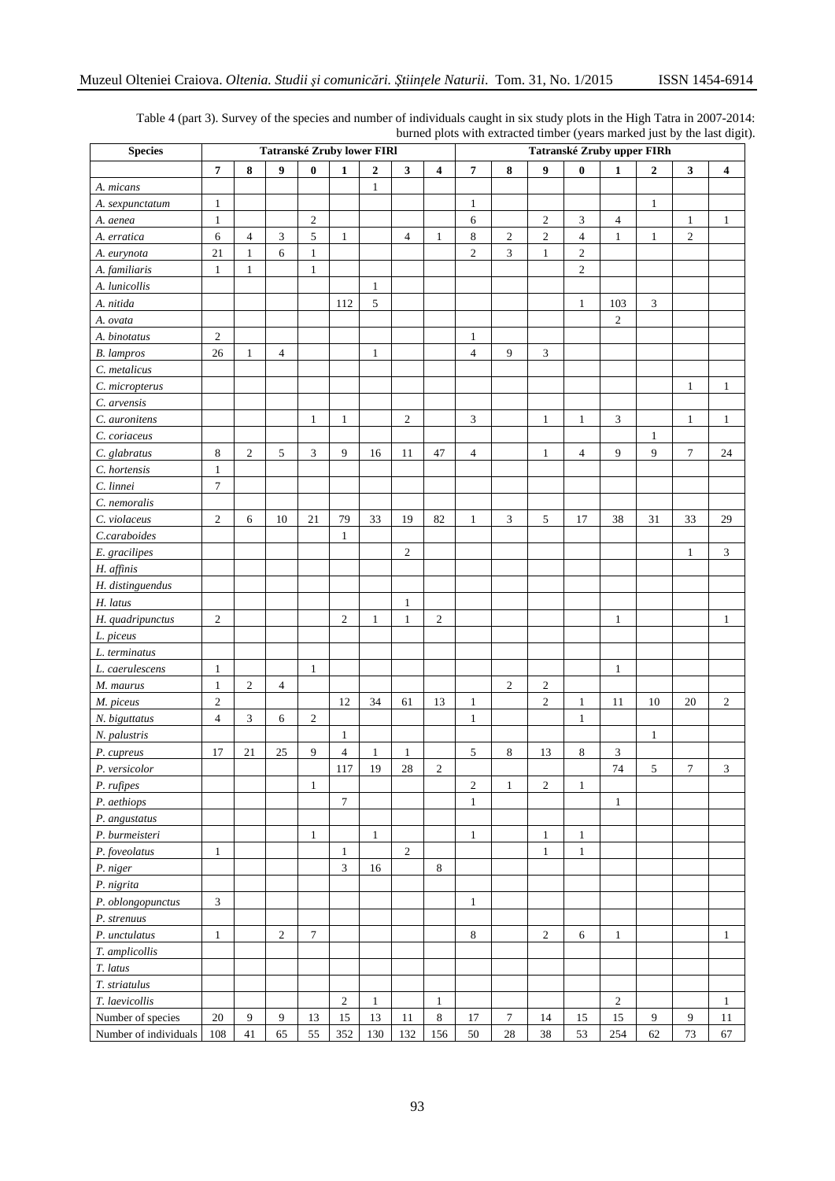| <b>Species</b>        | Tatranské Zruby lower FIRI |                |                |                  |                          |                  |                |                         | Tatranské Zruby upper FIRh |                |                  |                |                |                  |                |                |  |
|-----------------------|----------------------------|----------------|----------------|------------------|--------------------------|------------------|----------------|-------------------------|----------------------------|----------------|------------------|----------------|----------------|------------------|----------------|----------------|--|
|                       | $\overline{7}$             | 8              | 9              | $\bf{0}$         | $\mathbf{1}$             | $\boldsymbol{2}$ | $\mathbf{3}$   | 4                       | $\overline{7}$             | 8              | 9                | $\bf{0}$       | 1              | $\boldsymbol{2}$ | 3              | 4              |  |
| A. micans             |                            |                |                |                  |                          | 1                |                |                         |                            |                |                  |                |                |                  |                |                |  |
| A. sexpunctatum       | $\mathbf{1}$               |                |                |                  |                          |                  |                |                         | $\mathbf{1}$               |                |                  |                |                | $\mathbf{1}$     |                |                |  |
| A. aenea              | $\mathbf{1}$               |                |                | $\overline{2}$   |                          |                  |                |                         | 6                          |                | $\mathfrak{2}$   | $\mathfrak{Z}$ | $\overline{4}$ |                  | $\mathbf{1}$   | $\mathbf{1}$   |  |
| A. erratica           | $\sqrt{6}$                 | $\overline{4}$ | $\mathfrak{Z}$ | 5                | $\mathbf{1}$             |                  | $\overline{4}$ | $\mathbf{1}$            | $\,8\,$                    | $\overline{c}$ | $\overline{c}$   | $\overline{4}$ | $\mathbf{1}$   | $\mathbf{1}$     | $\overline{c}$ |                |  |
| A. eurynota           | 21                         | $\mathbf{1}$   | 6              | 1                |                          |                  |                |                         | $\overline{c}$             | 3              | $\mathbf{1}$     | $\overline{c}$ |                |                  |                |                |  |
| A. familiaris         | $\mathbf{1}$               | $\mathbf{1}$   |                | $\mathbf{1}$     |                          |                  |                |                         |                            |                |                  | $\sqrt{2}$     |                |                  |                |                |  |
| A. lunicollis         |                            |                |                |                  |                          | $\mathbf{1}$     |                |                         |                            |                |                  |                |                |                  |                |                |  |
| A. nitida             |                            |                |                |                  | 112                      | 5                |                |                         |                            |                |                  | $\mathbf{1}$   | 103            | $\mathfrak{Z}$   |                |                |  |
| A. ovata              |                            |                |                |                  |                          |                  |                |                         |                            |                |                  |                | $\overline{c}$ |                  |                |                |  |
| A. binotatus          | $\sqrt{2}$                 |                |                |                  |                          |                  |                |                         | $\mathbf{1}$               |                |                  |                |                |                  |                |                |  |
| <b>B.</b> lampros     | $26\,$                     | $\mathbf{1}$   | $\overline{4}$ |                  |                          | 1                |                |                         | $\overline{4}$             | 9              | 3                |                |                |                  |                |                |  |
| C. metalicus          |                            |                |                |                  |                          |                  |                |                         |                            |                |                  |                |                |                  |                |                |  |
| C. micropterus        |                            |                |                |                  |                          |                  |                |                         |                            |                |                  |                |                |                  | $\mathbf{1}$   | $\mathbf{1}$   |  |
| C. arvensis           |                            |                |                |                  |                          |                  |                |                         |                            |                |                  |                |                |                  |                |                |  |
| C. auronitens         |                            |                |                | $\mathbf{1}$     | $\mathbf{1}$             |                  | $\sqrt{2}$     |                         | 3                          |                | $\mathbf{1}$     | $\mathbf{1}$   | 3              |                  | $\mathbf{1}$   | $\mathbf{1}$   |  |
| C. coriaceus          |                            |                |                |                  |                          |                  |                |                         |                            |                |                  |                |                | $\mathbf{1}$     |                |                |  |
| C. glabratus          | $\,8\,$                    | $\sqrt{2}$     | $\sqrt{5}$     | 3                | 9                        | 16               | 11             | 47                      | $\overline{4}$             |                | 1                | $\overline{4}$ | 9              | 9                | $\tau$         | 24             |  |
| C. hortensis          | $\mathbf{1}$               |                |                |                  |                          |                  |                |                         |                            |                |                  |                |                |                  |                |                |  |
| C. linnei             | $\tau$                     |                |                |                  |                          |                  |                |                         |                            |                |                  |                |                |                  |                |                |  |
| C. nemoralis          |                            |                |                |                  |                          |                  |                |                         |                            |                |                  |                |                |                  |                |                |  |
| C. violaceus          | $\sqrt{2}$                 | 6              | 10             | 21               | 79                       | 33               | 19             | 82                      | $\mathbf{1}$               | 3              | $\sqrt{5}$       | 17             | 38             | 31               | 33             | 29             |  |
| C.caraboides          |                            |                |                |                  | $\mathbf{1}$             |                  |                |                         |                            |                |                  |                |                |                  |                |                |  |
| E. gracilipes         |                            |                |                |                  |                          |                  | $\overline{2}$ |                         |                            |                |                  |                |                |                  | $\mathbf{1}$   | $\mathfrak{Z}$ |  |
| H. affinis            |                            |                |                |                  |                          |                  |                |                         |                            |                |                  |                |                |                  |                |                |  |
| H. distinguendus      |                            |                |                |                  |                          |                  |                |                         |                            |                |                  |                |                |                  |                |                |  |
| H. latus              |                            |                |                |                  |                          |                  | $\mathbf{1}$   |                         |                            |                |                  |                |                |                  |                |                |  |
| H. quadripunctus      | $\sqrt{2}$                 |                |                |                  | 2                        | $\mathbf{1}$     | $\mathbf{1}$   | $\overline{c}$          |                            |                |                  |                | $\mathbf{1}$   |                  |                | 1              |  |
| L. piceus             |                            |                |                |                  |                          |                  |                |                         |                            |                |                  |                |                |                  |                |                |  |
| L. terminatus         |                            |                |                |                  |                          |                  |                |                         |                            |                |                  |                |                |                  |                |                |  |
| L. caerulescens       | $\mathbf{1}$               |                |                | $\mathbf{1}$     |                          |                  |                |                         |                            |                |                  |                | $\mathbf{1}$   |                  |                |                |  |
| M. maurus             | $\mathbf{1}$               | $\sqrt{2}$     | $\overline{4}$ |                  |                          |                  |                |                         |                            | $\overline{c}$ | $\boldsymbol{2}$ |                |                |                  |                |                |  |
| M. piceus             | $\sqrt{2}$                 |                |                |                  | 12                       | 34               | 61             | 13                      | $\mathbf{1}$               |                | $\mathfrak{2}$   | 1              | 11             | 10               | 20             | $\mathfrak{2}$ |  |
| N. biguttatus         | $\overline{4}$             | 3              | 6              | $\boldsymbol{2}$ |                          |                  |                |                         | $\mathbf{1}$               |                |                  | $\mathbf{1}$   |                |                  |                |                |  |
| N. palustris          |                            |                |                |                  | $\mathbf{1}$             |                  |                |                         |                            |                |                  |                |                | $\mathbf{1}$     |                |                |  |
| P. cupreus            | 17                         | 21             | 25             | 9                | $\overline{\mathcal{L}}$ | $\mathbf{1}$     | $\mathbf{1}$   |                         | 5                          | 8              | 13               | $\,8\,$        | 3              |                  |                |                |  |
| P. versicolor         |                            |                |                |                  | $117\,$                  | 19               | 28             | $\overline{\mathbf{c}}$ |                            |                |                  |                | 74             | 5                | 7              | 3              |  |
| P. rufipes            |                            |                |                | $\mathbf{1}$     |                          |                  |                |                         | $\sqrt{2}$                 | $\mathbf{1}$   | $\overline{c}$   | 1              |                |                  |                |                |  |
| P. aethiops           |                            |                |                |                  | $\tau$                   |                  |                |                         | $\mathbf{1}$               |                |                  |                | $\mathbf{1}$   |                  |                |                |  |
| P. angustatus         |                            |                |                |                  |                          |                  |                |                         |                            |                |                  |                |                |                  |                |                |  |
| P. burmeisteri        |                            |                |                | $\mathbf{1}$     |                          | -1               |                |                         | $\mathbf{1}$               |                | 1                | $\mathbf{1}$   |                |                  |                |                |  |
| P. foveolatus         | $\mathbf{1}$               |                |                |                  | 1                        |                  | $\sqrt{2}$     |                         |                            |                | $\mathbf{1}$     | $\mathbf{1}$   |                |                  |                |                |  |
| P. niger              |                            |                |                |                  | $\overline{3}$           | 16               |                | $\,8\,$                 |                            |                |                  |                |                |                  |                |                |  |
| P. nigrita            |                            |                |                |                  |                          |                  |                |                         |                            |                |                  |                |                |                  |                |                |  |
| P. oblongopunctus     | $\mathfrak{Z}$             |                |                |                  |                          |                  |                |                         | $\mathbf{1}$               |                |                  |                |                |                  |                |                |  |
| P. strenuus           |                            |                |                |                  |                          |                  |                |                         |                            |                |                  |                |                |                  |                |                |  |
| P. unctulatus         | $\mathbf{1}$               |                | 2              | $\tau$           |                          |                  |                |                         | 8                          |                | 2                | 6              | $\mathbf{1}$   |                  |                | 1              |  |
| T. amplicollis        |                            |                |                |                  |                          |                  |                |                         |                            |                |                  |                |                |                  |                |                |  |
| T. latus              |                            |                |                |                  |                          |                  |                |                         |                            |                |                  |                |                |                  |                |                |  |
| T. striatulus         |                            |                |                |                  |                          |                  |                |                         |                            |                |                  |                |                |                  |                |                |  |
| T. laevicollis        |                            |                |                |                  | $\sqrt{2}$               | $\mathbf{1}$     |                | $\mathbf{1}$            |                            |                |                  |                | $\overline{c}$ |                  |                | 1              |  |
| Number of species     | 20                         | 9              | 9              | 13               | 15                       | 13               | 11             | $\,8\,$                 | 17                         | $\tau$         | 14               | 15             | 15             | 9                | 9              | 11             |  |
| Number of individuals | 108                        | 41             | 65             | 55               | 352                      | 130              | 132            | 156                     | $50\,$                     | $28\,$         | 38               | 53             | 254            | 62               | 73             | 67             |  |

Table 4 (part 3). Survey of the species and number of individuals caught in six study plots in the High Tatra in 2007-2014: burned plots with extracted timber (years marked just by the last digit).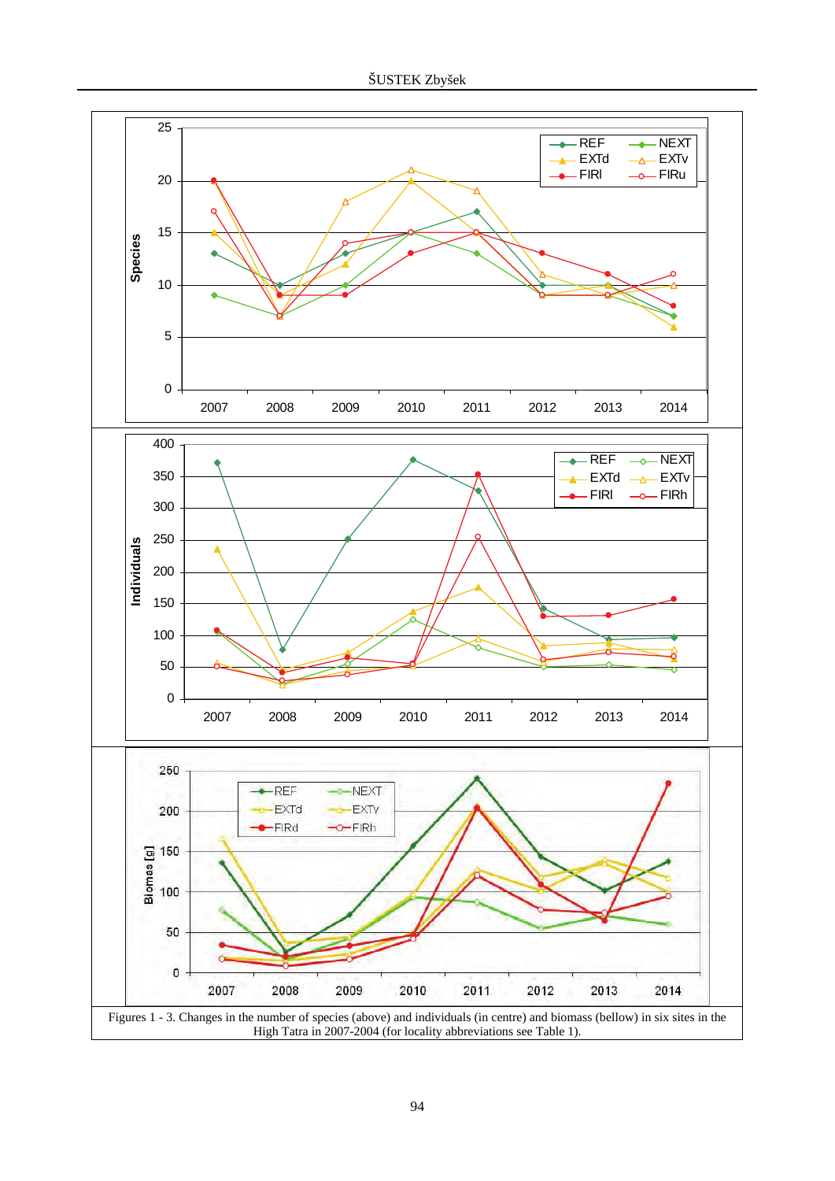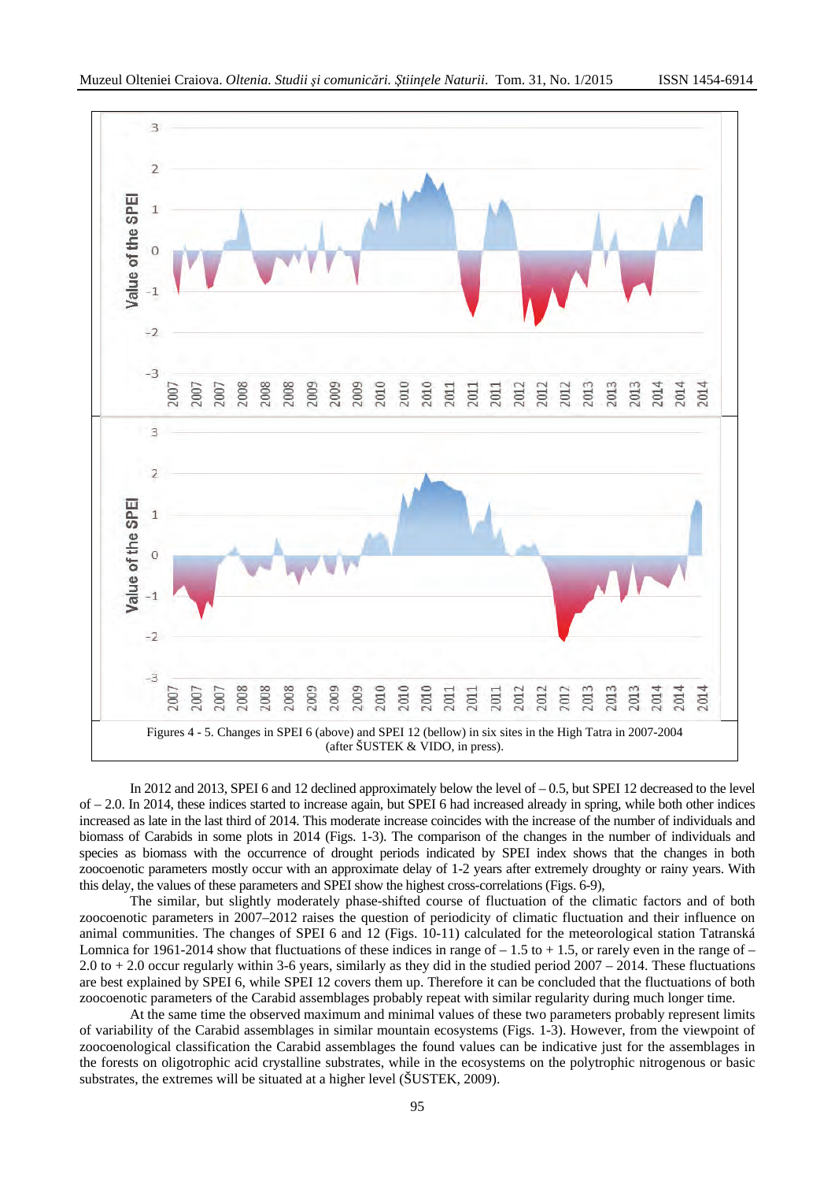

In 2012 and 2013, SPEI 6 and 12 declined approximately below the level of  $-0.5$ , but SPEI 12 decreased to the level of – 2.0. In 2014, these indices started to increase again, but SPEI 6 had increased already in spring, while both other indices increased as late in the last third of 2014. This moderate increase coincides with the increase of the number of individuals and biomass of Carabids in some plots in 2014 (Figs. 1-3). The comparison of the changes in the number of individuals and species as biomass with the occurrence of drought periods indicated by SPEI index shows that the changes in both zoocoenotic parameters mostly occur with an approximate delay of 1-2 years after extremely droughty or rainy years. With this delay, the values of these parameters and SPEI show the highest cross-correlations (Figs. 6-9),

The similar, but slightly moderately phase-shifted course of fluctuation of the climatic factors and of both zoocoenotic parameters in 2007–2012 raises the question of periodicity of climatic fluctuation and their influence on animal communities. The changes of SPEI 6 and 12 (Figs. 10-11) calculated for the meteorological station Tatranská Lomnica for 1961-2014 show that fluctuations of these indices in range of  $-1.5$  to  $+1.5$ , or rarely even in the range of  $-$ 2.0 to + 2.0 occur regularly within 3-6 years, similarly as they did in the studied period 2007 – 2014. These fluctuations are best explained by SPEI 6, while SPEI 12 covers them up. Therefore it can be concluded that the fluctuations of both zoocoenotic parameters of the Carabid assemblages probably repeat with similar regularity during much longer time.

At the same time the observed maximum and minimal values of these two parameters probably represent limits of variability of the Carabid assemblages in similar mountain ecosystems (Figs. 1-3). However, from the viewpoint of zoocoenological classification the Carabid assemblages the found values can be indicative just for the assemblages in the forests on oligotrophic acid crystalline substrates, while in the ecosystems on the polytrophic nitrogenous or basic substrates, the extremes will be situated at a higher level (ŠUSTEK, 2009).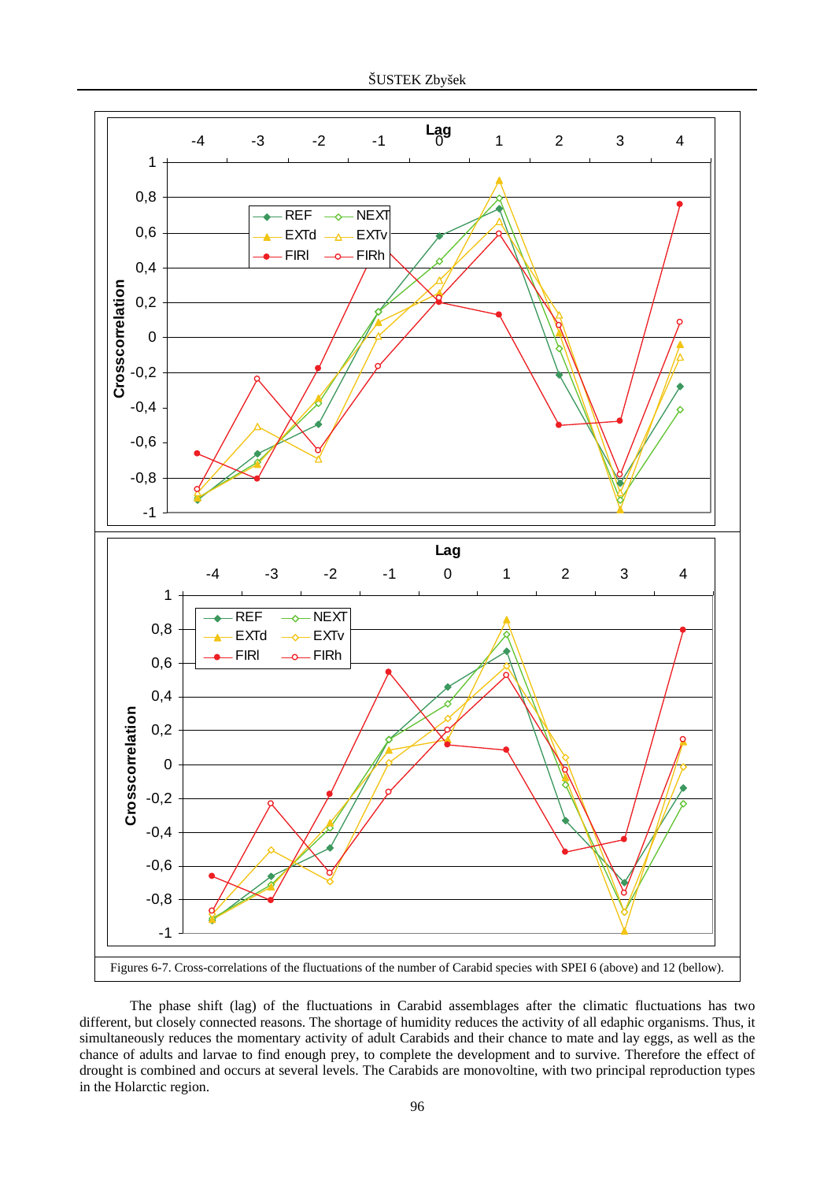

The phase shift (lag) of the fluctuations in Carabid assemblages after the climatic fluctuations has two different, but closely connected reasons. The shortage of humidity reduces the activity of all edaphic organisms. Thus, it simultaneously reduces the momentary activity of adult Carabids and their chance to mate and lay eggs, as well as the chance of adults and larvae to find enough prey, to complete the development and to survive. Therefore the effect of drought is combined and occurs at several levels. The Carabids are monovoltine, with two principal reproduction types in the Holarctic region.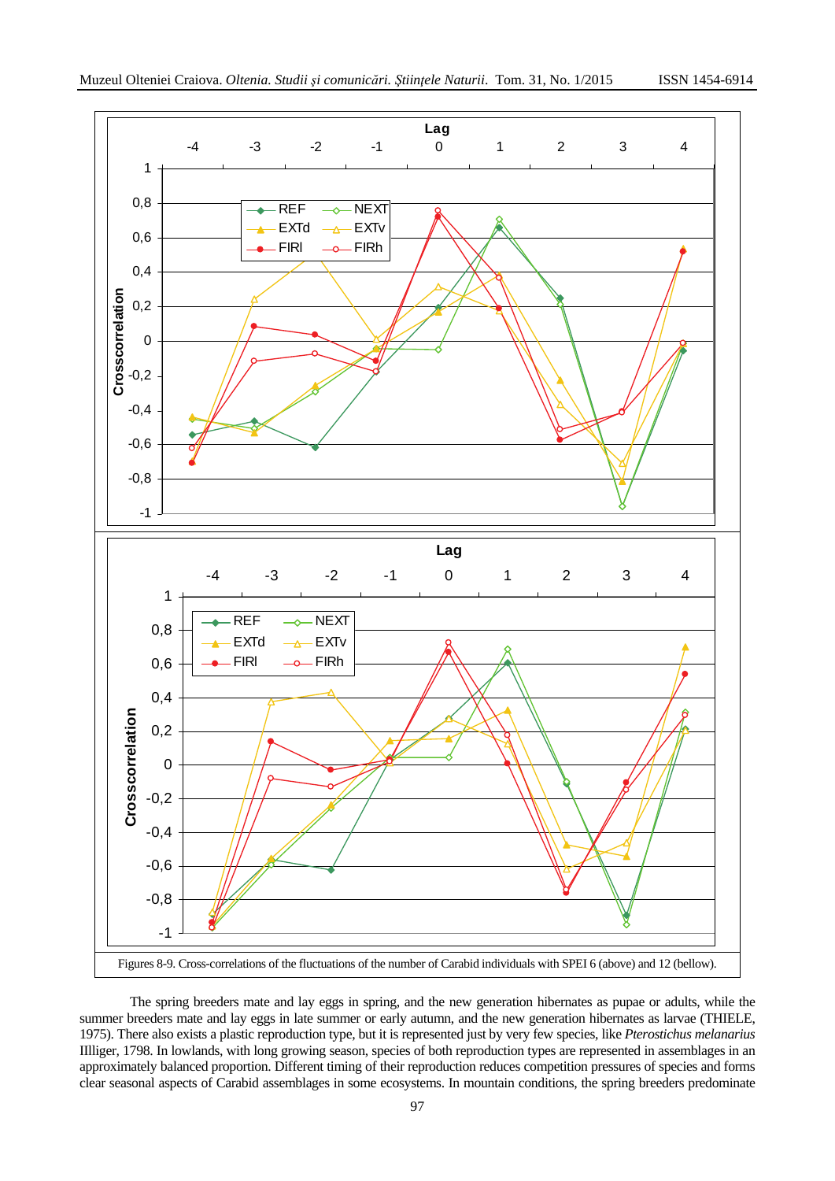

The spring breeders mate and lay eggs in spring, and the new generation hibernates as pupae or adults, while the summer breeders mate and lay eggs in late summer or early autumn, and the new generation hibernates as larvae (THIELE, 1975). There also exists a plastic reproduction type, but it is represented just by very few species, like *Pterostichus melanarius*  IIlliger*,* 1798. In lowlands, with long growing season, species of both reproduction types are represented in assemblages in an approximately balanced proportion. Different timing of their reproduction reduces competition pressures of species and forms clear seasonal aspects of Carabid assemblages in some ecosystems. In mountain conditions, the spring breeders predominate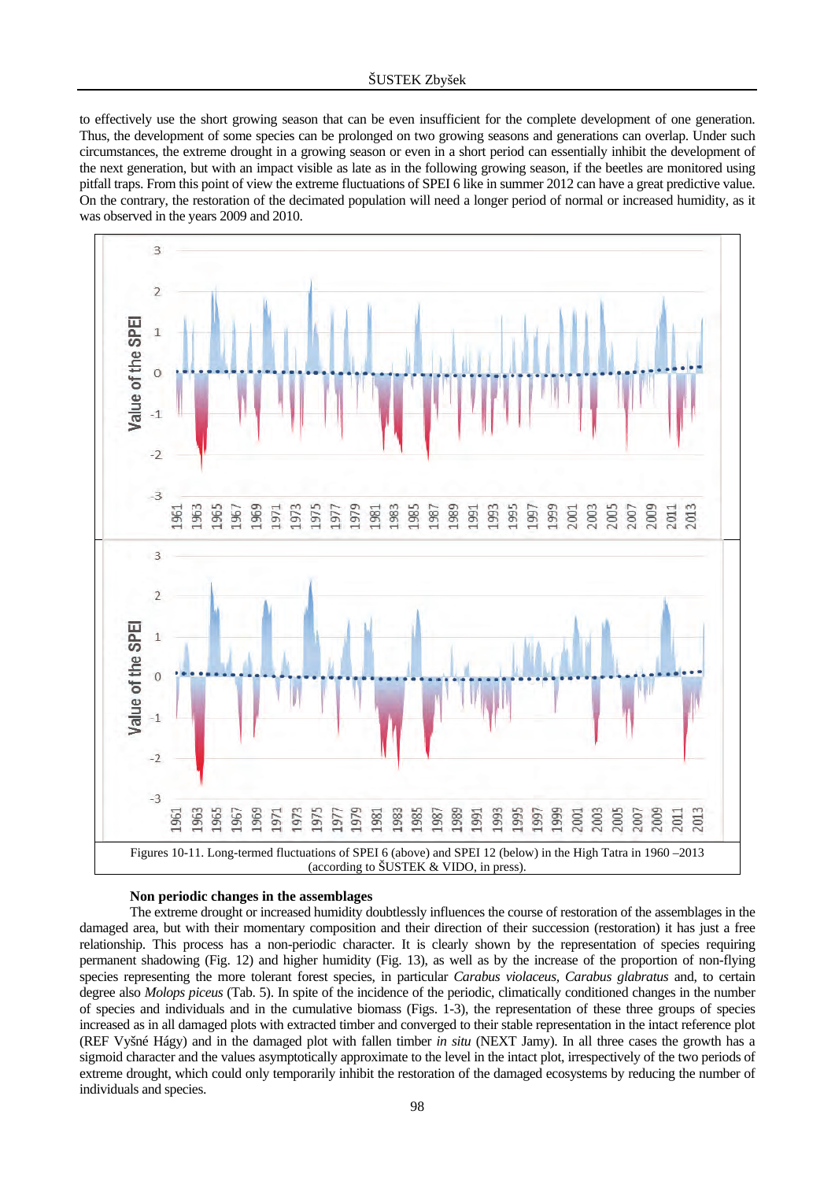to effectively use the short growing season that can be even insufficient for the complete development of one generation. Thus, the development of some species can be prolonged on two growing seasons and generations can overlap. Under such circumstances, the extreme drought in a growing season or even in a short period can essentially inhibit the development of the next generation, but with an impact visible as late as in the following growing season, if the beetles are monitored using pitfall traps. From this point of view the extreme fluctuations of SPEI 6 like in summer 2012 can have a great predictive value. On the contrary, the restoration of the decimated population will need a longer period of normal or increased humidity, as it was observed in the years 2009 and 2010.



#### **Non periodic changes in the assemblages**

The extreme drought or increased humidity doubtlessly influences the course of restoration of the assemblages in the damaged area, but with their momentary composition and their direction of their succession (restoration) it has just a free relationship. This process has a non-periodic character. It is clearly shown by the representation of species requiring permanent shadowing (Fig. 12) and higher humidity (Fig. 13), as well as by the increase of the proportion of non-flying species representing the more tolerant forest species, in particular *Carabus violaceus, Carabus glabratus* and, to certain degree also *Molops piceus* (Tab. 5). In spite of the incidence of the periodic, climatically conditioned changes in the number of species and individuals and in the cumulative biomass (Figs. 1-3), the representation of these three groups of species increased as in all damaged plots with extracted timber and converged to their stable representation in the intact reference plot (REF Vyšné Hágy) and in the damaged plot with fallen timber *in situ* (NEXT Jamy). In all three cases the growth has a sigmoid character and the values asymptotically approximate to the level in the intact plot, irrespectively of the two periods of extreme drought, which could only temporarily inhibit the restoration of the damaged ecosystems by reducing the number of individuals and species.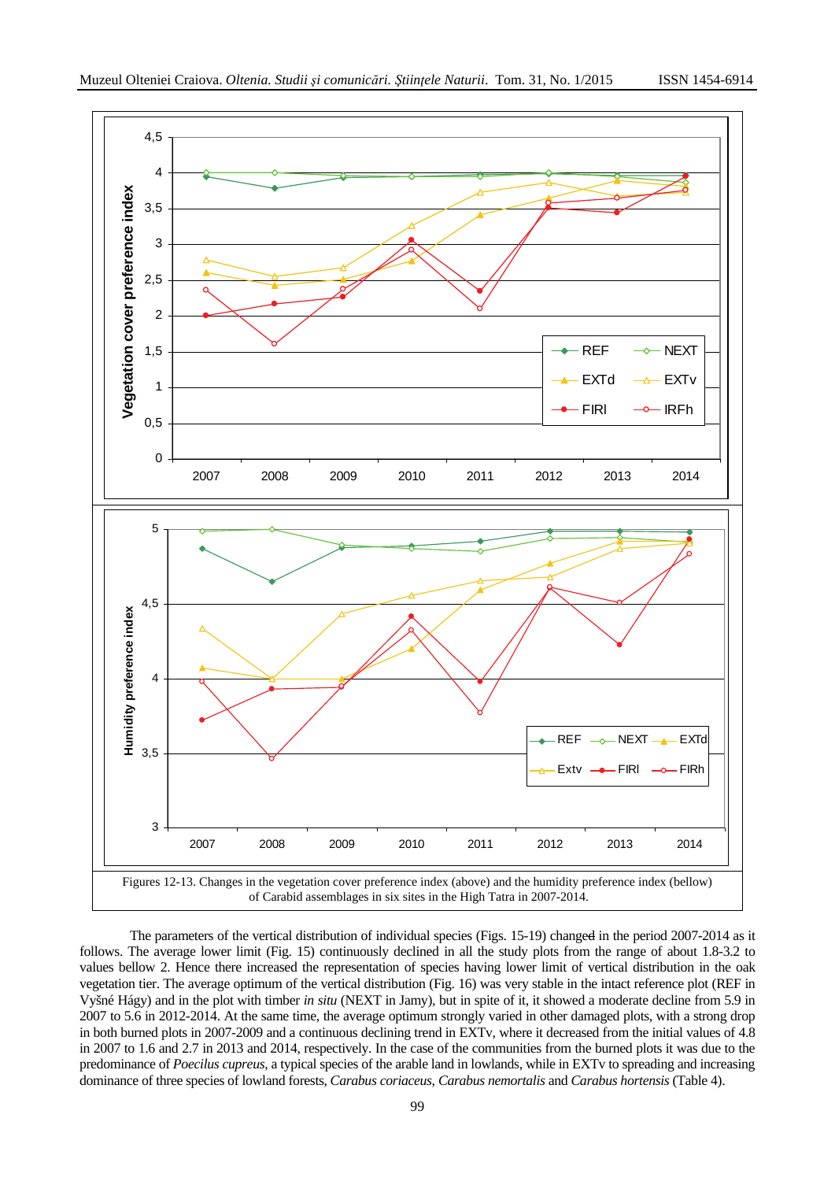

The parameters of the vertical distribution of individual species (Figs. 15-19) changed in the period 2007-2014 as it follows. The average lower limit (Fig. 15) continuously declined in all the study plots from the range of about 1.8-3.2 to values bellow 2. Hence there increased the representation of species having lower limit of vertical distribution in the oak vegetation tier. The average optimum of the vertical distribution (Fig. 16) was very stable in the intact reference plot (REF in Vyšné Hágy) and in the plot with timber *in situ* (NEXT in Jamy)*,* but in spite of it, it showed a moderate decline from 5.9 in 2007 to 5.6 in 2012-2014. At the same time, the average optimum strongly varied in other damaged plots, with a strong drop in both burned plots in 2007-2009 and a continuous declining trend in EXTv, where it decreased from the initial values of 4.8 in 2007 to 1.6 and 2.7 in 2013 and 2014, respectively. In the case of the communities from the burned plots it was due to the predominance of *Poecilus cupreus*, a typical species of the arable land in lowlands, while in EXTv to spreading and increasing dominance of three species of lowland forests, *Carabus coriaceus*, *Carabus nemortalis* and *Carabus hortensis* (Table 4).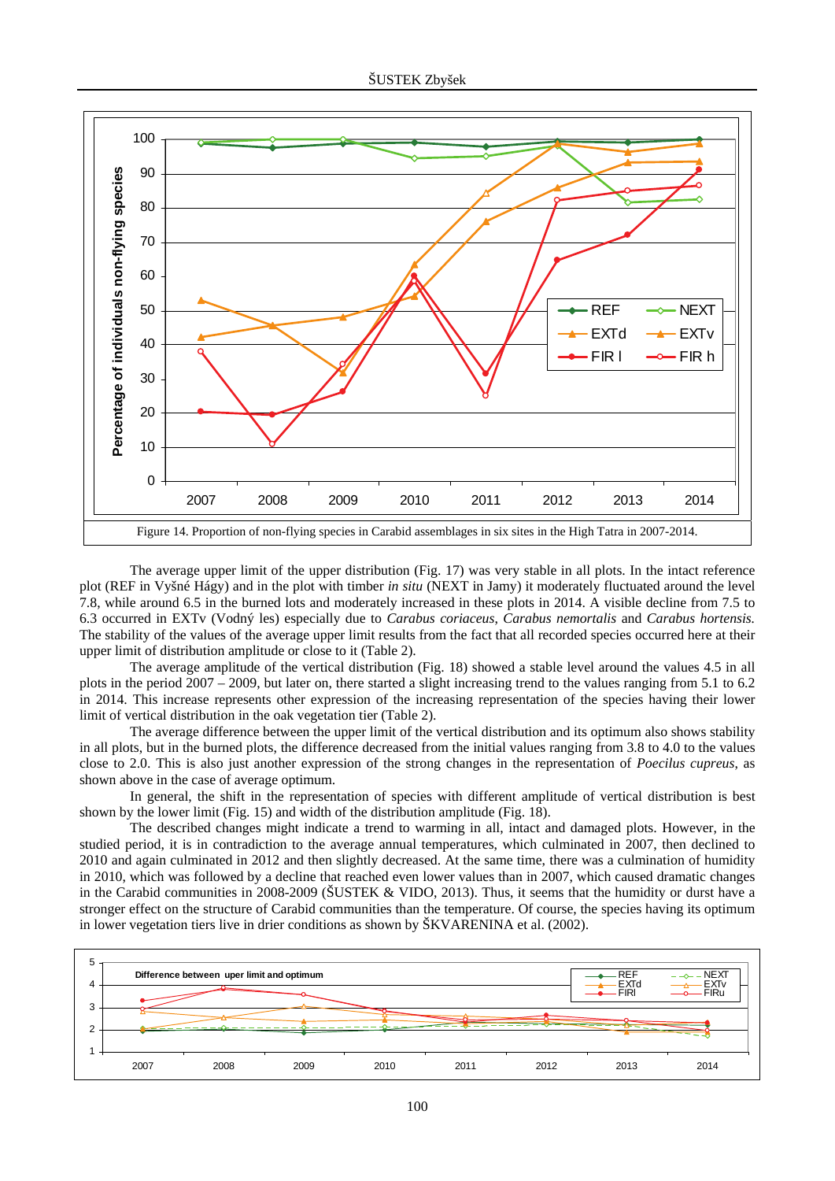

The average upper limit of the upper distribution (Fig. 17) was very stable in all plots. In the intact reference plot (REF in Vyšné Hágy) and in the plot with timber *in situ* (NEXT in Jamy) it moderately fluctuated around the level 7.8, while around 6.5 in the burned lots and moderately increased in these plots in 2014. A visible decline from 7.5 to 6.3 occurred in EXTv (Vodný les) especially due to *Carabus coriaceus*, *Carabus nemortalis* and *Carabus hortensis.*  The stability of the values of the average upper limit results from the fact that all recorded species occurred here at their upper limit of distribution amplitude or close to it (Table 2).

The average amplitude of the vertical distribution (Fig. 18) showed a stable level around the values 4.5 in all plots in the period 2007 – 2009, but later on, there started a slight increasing trend to the values ranging from 5.1 to 6.2 in 2014. This increase represents other expression of the increasing representation of the species having their lower limit of vertical distribution in the oak vegetation tier (Table 2).

The average difference between the upper limit of the vertical distribution and its optimum also shows stability in all plots, but in the burned plots, the difference decreased from the initial values ranging from 3.8 to 4.0 to the values close to 2.0. This is also just another expression of the strong changes in the representation of *Poecilus cupreus*, as shown above in the case of average optimum.

In general, the shift in the representation of species with different amplitude of vertical distribution is best shown by the lower limit (Fig. 15) and width of the distribution amplitude (Fig. 18).

The described changes might indicate a trend to warming in all, intact and damaged plots. However, in the studied period, it is in contradiction to the average annual temperatures, which culminated in 2007, then declined to 2010 and again culminated in 2012 and then slightly decreased. At the same time, there was a culmination of humidity in 2010, which was followed by a decline that reached even lower values than in 2007, which caused dramatic changes in the Carabid communities in 2008-2009 (ŠUSTEK & VIDO, 2013). Thus, it seems that the humidity or durst have a stronger effect on the structure of Carabid communities than the temperature. Of course, the species having its optimum in lower vegetation tiers live in drier conditions as shown by ŠKVARENINA et al. (2002).

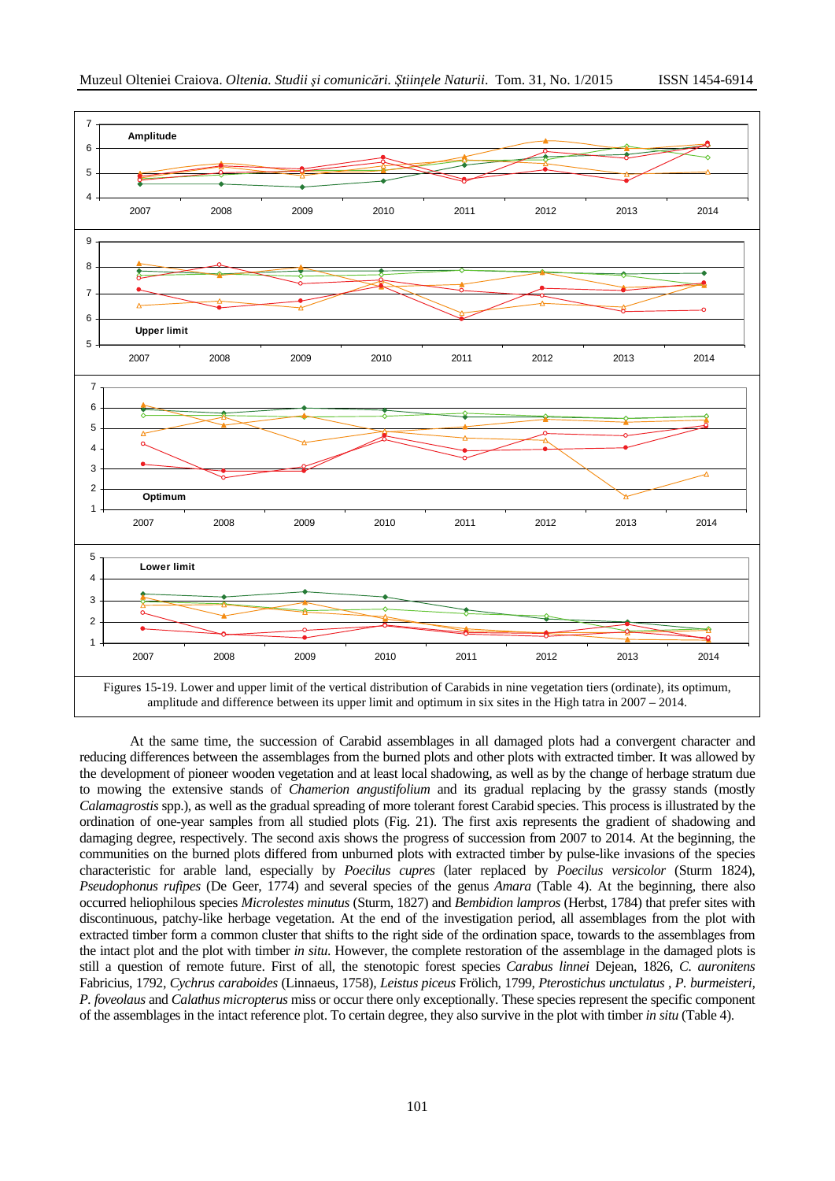

At the same time, the succession of Carabid assemblages in all damaged plots had a convergent character and reducing differences between the assemblages from the burned plots and other plots with extracted timber. It was allowed by the development of pioneer wooden vegetation and at least local shadowing, as well as by the change of herbage stratum due to mowing the extensive stands of *Chamerion angustifolium* and its gradual replacing by the grassy stands (mostly *Calamagrostis* spp.), as well as the gradual spreading of more tolerant forest Carabid species. This process is illustrated by the ordination of one-year samples from all studied plots (Fig. 21). The first axis represents the gradient of shadowing and damaging degree, respectively. The second axis shows the progress of succession from 2007 to 2014. At the beginning, the communities on the burned plots differed from unburned plots with extracted timber by pulse-like invasions of the species characteristic for arable land, especially by *Poecilus cupres* (later replaced by *Poecilus versicolor* (Sturm 1824), *Pseudophonus rufipes* (De Geer, 1774) and several species of the genus *Amara* (Table 4). At the beginning, there also occurred heliophilous species *Microlestes minutus* (Sturm, 1827) and *Bembidion lampros* (Herbst, 1784) that prefer sites with discontinuous, patchy-like herbage vegetation. At the end of the investigation period, all assemblages from the plot with extracted timber form a common cluster that shifts to the right side of the ordination space, towards to the assemblages from the intact plot and the plot with timber *in situ*. However, the complete restoration of the assemblage in the damaged plots is still a question of remote future. First of all, the stenotopic forest species *Carabus linnei* Dejean, 1826, *C. auronitens*  Fabricius, 1792*, Cychrus caraboides* (Linnaeus, 1758)*, Leistus piceus* Frölich, 1799*, Pterostichus unctulatus , P. burmeisteri, P. foveolaus* and *Calathus micropterus* miss or occur there only exceptionally. These species represent the specific component of the assemblages in the intact reference plot. To certain degree, they also survive in the plot with timber *in situ* (Table 4).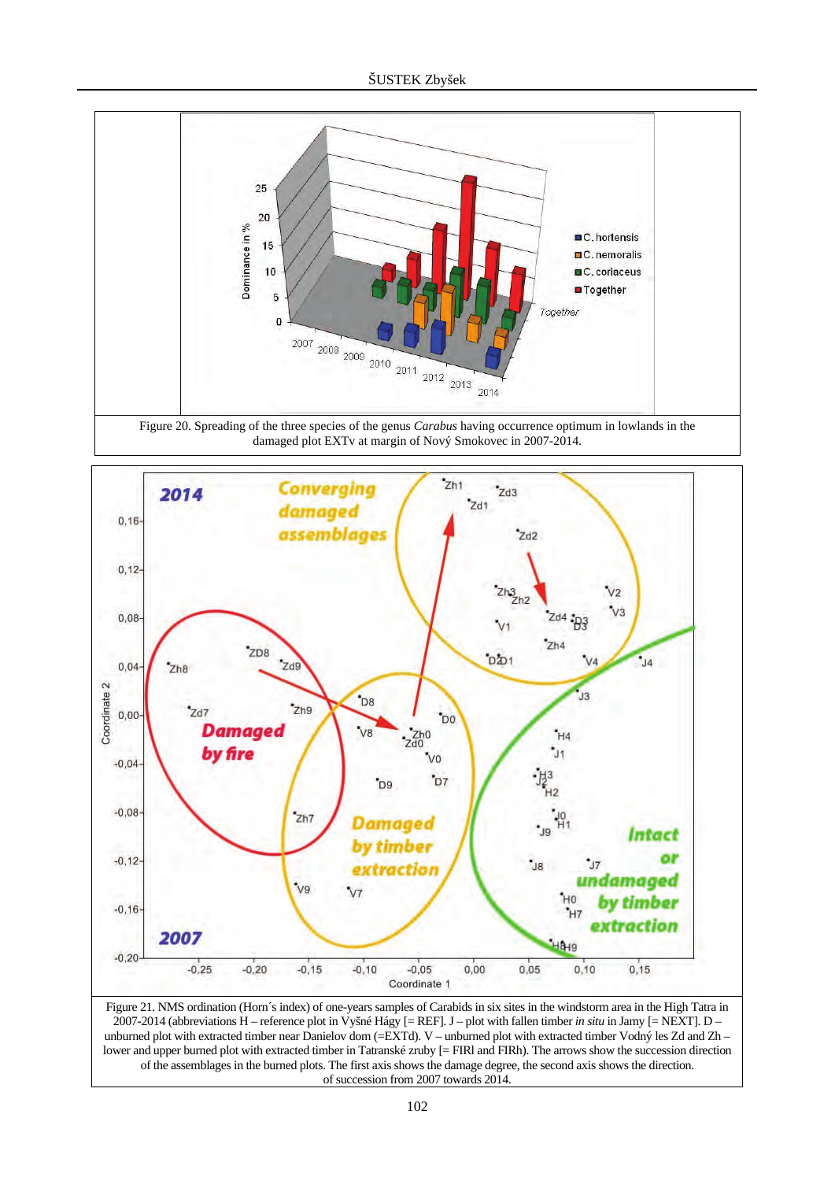



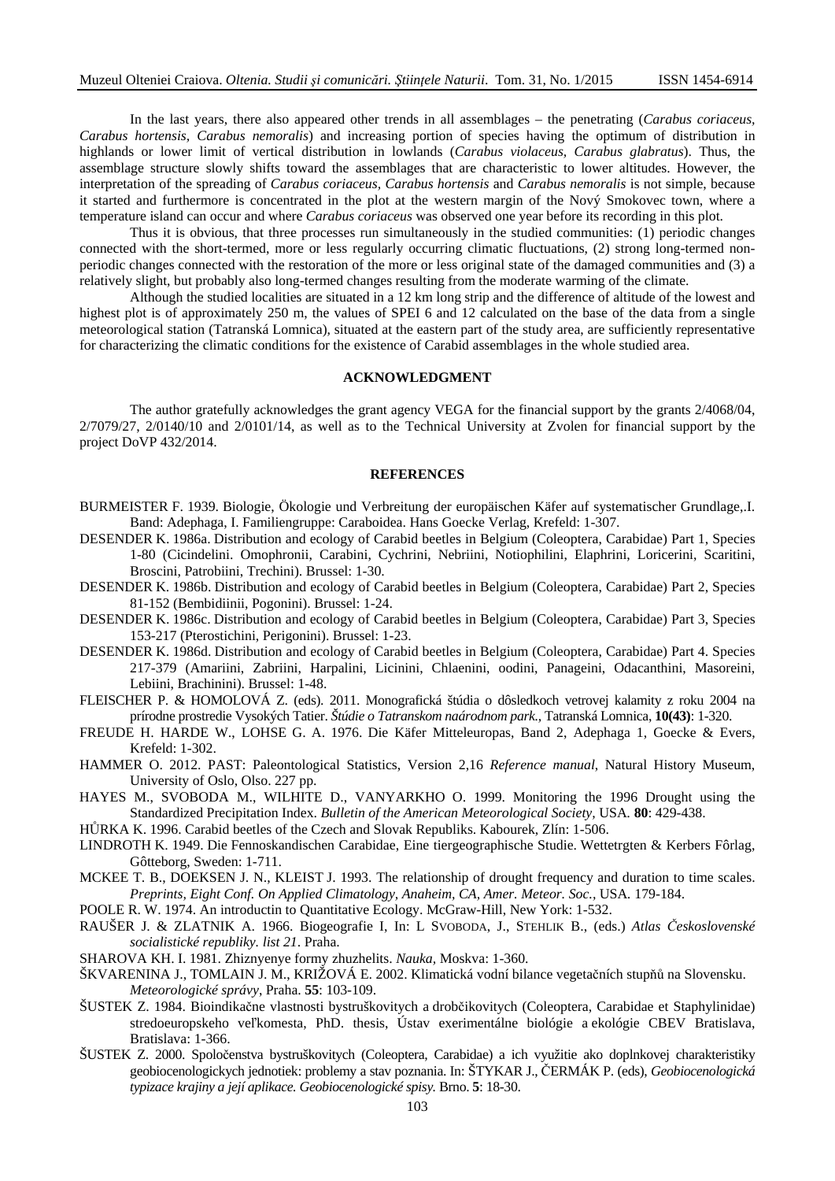In the last years, there also appeared other trends in all assemblages – the penetrating (*Carabus coriaceus, Carabus hortensis, Carabus nemoralis*) and increasing portion of species having the optimum of distribution in highlands or lower limit of vertical distribution in lowlands (*Carabus violaceus, Carabus glabratus*). Thus, the assemblage structure slowly shifts toward the assemblages that are characteristic to lower altitudes. However, the interpretation of the spreading of *Carabus coriaceus, Carabus hortensis* and *Carabus nemoralis* is not simple, because it started and furthermore is concentrated in the plot at the western margin of the Nový Smokovec town, where a temperature island can occur and where *Carabus coriaceus* was observed one year before its recording in this plot.

Thus it is obvious, that three processes run simultaneously in the studied communities: (1) periodic changes connected with the short-termed, more or less regularly occurring climatic fluctuations, (2) strong long-termed nonperiodic changes connected with the restoration of the more or less original state of the damaged communities and (3) a relatively slight, but probably also long-termed changes resulting from the moderate warming of the climate.

Although the studied localities are situated in a 12 km long strip and the difference of altitude of the lowest and highest plot is of approximately 250 m, the values of SPEI 6 and 12 calculated on the base of the data from a single meteorological station (Tatranská Lomnica), situated at the eastern part of the study area, are sufficiently representative for characterizing the climatic conditions for the existence of Carabid assemblages in the whole studied area.

## **ACKNOWLEDGMENT**

The author gratefully acknowledges the grant agency VEGA for the financial support by the grants 2/4068/04, 2/7079/27, 2/0140/10 and 2/0101/14, as well as to the Technical University at Zvolen for financial support by the project DoVP 432/2014.

### **REFERENCES**

- BURMEISTER F. 1939. Biologie, Ökologie und Verbreitung der europäischen Käfer auf systematischer Grundlage,.I. Band: Adephaga, I. Familiengruppe: Caraboidea. Hans Goecke Verlag, Krefeld: 1-307.
- DESENDER K. 1986a. Distribution and ecology of Carabid beetles in Belgium (Coleoptera, Carabidae) Part 1, Species 1-80 (Cicindelini. Omophronii, Carabini, Cychrini, Nebriini, Notiophilini, Elaphrini, Loricerini, Scaritini, Broscini, Patrobiini, Trechini). Brussel: 1-30.
- DESENDER K. 1986b. Distribution and ecology of Carabid beetles in Belgium (Coleoptera, Carabidae) Part 2, Species 81-152 (Bembidiinii, Pogonini). Brussel: 1-24.
- DESENDER K. 1986c. Distribution and ecology of Carabid beetles in Belgium (Coleoptera, Carabidae) Part 3, Species 153-217 (Pterostichini, Perigonini). Brussel: 1-23.
- DESENDER K. 1986d. Distribution and ecology of Carabid beetles in Belgium (Coleoptera, Carabidae) Part 4. Species 217-379 (Amariini, Zabriini, Harpalini, Licinini, Chlaenini, oodini, Panageini, Odacanthini, Masoreini, Lebiini, Brachinini). Brussel: 1-48.
- FLEISCHER P. & HOMOLOVÁ Z. (eds). 2011. Monografická štúdia o dôsledkoch vetrovej kalamity z roku 2004 na prírodne prostredie Vysokých Tatier. *Štúdie o Tatranskom naárodnom park.,* Tatranská Lomnica, **10(43)**: 1-320.
- FREUDE H. HARDE W., LOHSE G. A. 1976. Die Käfer Mitteleuropas, Band 2, Adephaga 1, Goecke & Evers, Krefeld: 1-302.
- HAMMER O. 2012. PAST: Paleontological Statistics, Version 2,16 *Reference manual*, Natural History Museum, University of Oslo, Olso. 227 pp.
- HAYES M., SVOBODA M., WILHITE D., VANYARKHO O. 1999. Monitoring the 1996 Drought using the Standardized Precipitation Index. *Bulletin of the American Meteorological Society,* USA*.* **80**: 429-438.
- HŮRKA K. 1996. Carabid beetles of the Czech and Slovak Republiks. Kabourek, Zlín: 1-506.
- LINDROTH K. 1949. Die Fennoskandischen Carabidae, Eine tiergeographische Studie. Wettetrgten & Kerbers Fôrlag, Gôtteborg, Sweden: 1-711.
- MCKEE T. B., DOEKSEN J. N., KLEIST J. 1993. The relationship of drought frequency and duration to time scales. *Preprints, Eight Conf. On Applied Climatology, Anaheim, CA, Amer. Meteor. Soc.,* USA*.* 179-184.
- POOLE R. W. 1974. An introductin to Quantitative Ecology. McGraw-Hill, New York: 1-532.
- RAUŠER J. & ZLATNIK A. 1966. Biogeografie I, In: L SVOBODA, J., STEHLIK B., (eds.) *Atlas Československé socialistické republiky. list 21*. Praha.
- SHAROVA KH. I. 1981. Zhiznyenye formy zhuzhelits. *Nauka,* Moskva: 1-360.
- ŠKVARENINA J., TOMLAIN J. M., KRIŽOVÁ E. 2002. Klimatická vodní bilance vegetačních stupňů na Slovensku. *Meteorologické správy*, Praha. **55**: 103-109.
- ŠUSTEK Z. 1984. Bioindikačne vlastnosti bystruškovitych a drobčikovitych (Coleoptera, Carabidae et Staphylinidae) stredoeuropskeho veľkomesta, PhD. thesis, Ústav exerimentálne biológie a ekológie CBEV Bratislava, Bratislava: 1-366.
- ŠUSTEK Z. 2000. Spoločenstva bystruškovitych (Coleoptera, Carabidae) a ich využitie ako doplnkovej charakteristiky geobiocenologickych jednotiek: problemy a stav poznania. In: ŠTYKAR J., ČERMÁK P. (eds), *Geobiocenologická typizace krajiny a její aplikace. Geobiocenologické spisy.* Brno. **5**: 18-30.